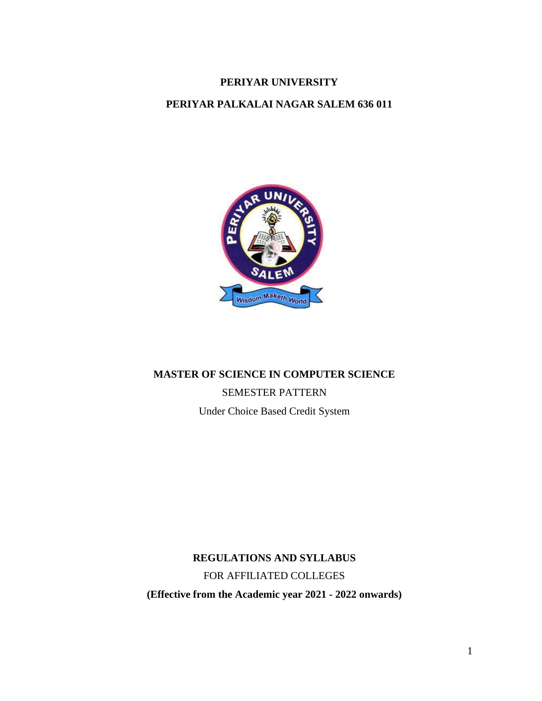# **PERIYAR UNIVERSITY**

# **PERIYAR PALKALAI NAGAR SALEM 636 011**



# **MASTER OF SCIENCE IN COMPUTER SCIENCE** SEMESTER PATTERN Under Choice Based Credit System

**REGULATIONS AND SYLLABUS** FOR AFFILIATED COLLEGES **(Effective from the Academic year 2021 - 2022 onwards)**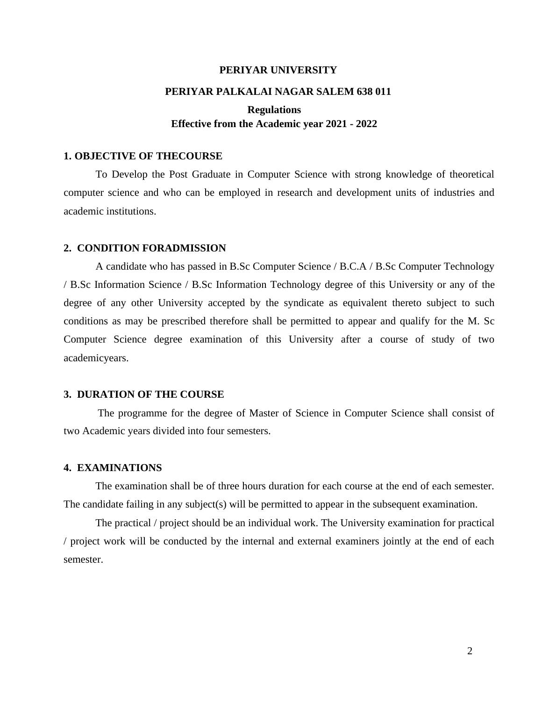#### **PERIYAR UNIVERSITY**

#### **PERIYAR PALKALAI NAGAR SALEM 638 011**

# **Regulations Effective from the Academic year 2021 - 2022**

## **1. OBJECTIVE OF THECOURSE**

To Develop the Post Graduate in Computer Science with strong knowledge of theoretical computer science and who can be employed in research and development units of industries and academic institutions.

### **2. CONDITION FORADMISSION**

A candidate who has passed in B.Sc Computer Science / B.C.A / B.Sc Computer Technology / B.Sc Information Science / B.Sc Information Technology degree of this University or any of the degree of any other University accepted by the syndicate as equivalent thereto subject to such conditions as may be prescribed therefore shall be permitted to appear and qualify for the M. Sc Computer Science degree examination of this University after a course of study of two academicyears.

## **3. DURATION OF THE COURSE**

The programme for the degree of Master of Science in Computer Science shall consist of two Academic years divided into four semesters.

### **4. EXAMINATIONS**

The examination shall be of three hours duration for each course at the end of each semester. The candidate failing in any subject(s) will be permitted to appear in the subsequent examination.

The practical / project should be an individual work. The University examination for practical / project work will be conducted by the internal and external examiners jointly at the end of each semester.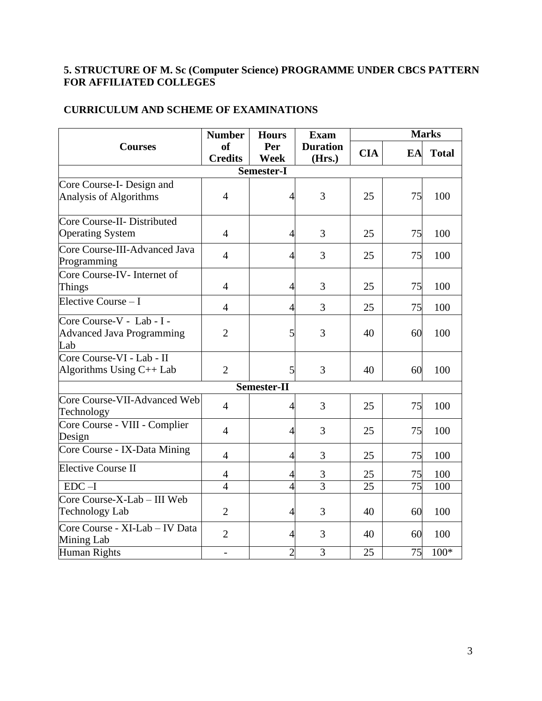# **5. STRUCTURE OF M. Sc (Computer Science) PROGRAMME UNDER CBCS PATTERN FOR AFFILIATED COLLEGES**

# **CURRICULUM AND SCHEME OF EXAMINATIONS**

|                                                                      | <b>Number</b>                              | <b>Hours</b>   | <b>Exam</b>               | <b>Marks</b>    |    |              |  |
|----------------------------------------------------------------------|--------------------------------------------|----------------|---------------------------|-----------------|----|--------------|--|
| <b>Courses</b>                                                       | <b>of</b><br>Per<br>Week<br><b>Credits</b> |                | <b>Duration</b><br>(Hrs.) | <b>CIA</b>      | EA | <b>Total</b> |  |
|                                                                      |                                            | Semester-I     |                           |                 |    |              |  |
| Core Course-I- Design and<br>Analysis of Algorithms                  | $\overline{4}$                             | $\overline{4}$ | 3                         | 25              | 75 | 100          |  |
| Core Course-II- Distributed<br><b>Operating System</b>               | $\overline{4}$                             | $\overline{4}$ | 3                         | 25              | 75 | 100          |  |
| Core Course-III-Advanced Java<br>Programming                         | $\overline{4}$                             | $\overline{4}$ | 3                         | 25              | 75 | 100          |  |
| Core Course-IV- Internet of<br>Things                                | $\overline{4}$                             | $\overline{4}$ | 3                         | 25              | 75 | 100          |  |
| Elective Course - I                                                  | $\overline{4}$                             | 4              | 3                         | 25              | 75 | 100          |  |
| Core Course-V - Lab - I -<br><b>Advanced Java Programming</b><br>Lab | $\overline{2}$                             | 5              | 3                         | 40              | 60 | 100          |  |
| Core Course-VI - Lab - II<br>Algorithms Using $C++$ Lab              | $\overline{2}$                             | 5              | 3                         | 40              | 60 | 100          |  |
|                                                                      |                                            | Semester-II    |                           |                 |    |              |  |
| Core Course-VII-Advanced Web<br>Technology                           | $\overline{4}$                             | $\overline{4}$ | 3                         | 25              | 75 | 100          |  |
| Core Course - VIII - Complier<br>Design                              | $\overline{4}$                             | $\overline{4}$ | 3                         | 25              | 75 | 100          |  |
| Core Course - IX-Data Mining                                         | $\overline{4}$                             | 4              | 3                         | 25              | 75 | 100          |  |
| <b>Elective Course II</b>                                            | $\overline{4}$                             | $\overline{4}$ | $rac{3}{3}$               | 25              | 75 | 100          |  |
| $EDC-I$                                                              | $\overline{4}$                             | $\overline{4}$ |                           | $\overline{25}$ | 75 | 100          |  |
| Core Course-X-Lab - III Web<br><b>Technology Lab</b>                 | $\overline{2}$                             | $\overline{4}$ | 3                         | 40              | 60 | 100          |  |
| Core Course - XI-Lab - IV Data<br>Mining Lab                         | $\overline{2}$                             | $\overline{4}$ | 3                         | 40              | 60 | 100          |  |
| Human Rights                                                         |                                            | $\overline{2}$ | $\overline{3}$            | 25              | 75 | $100*$       |  |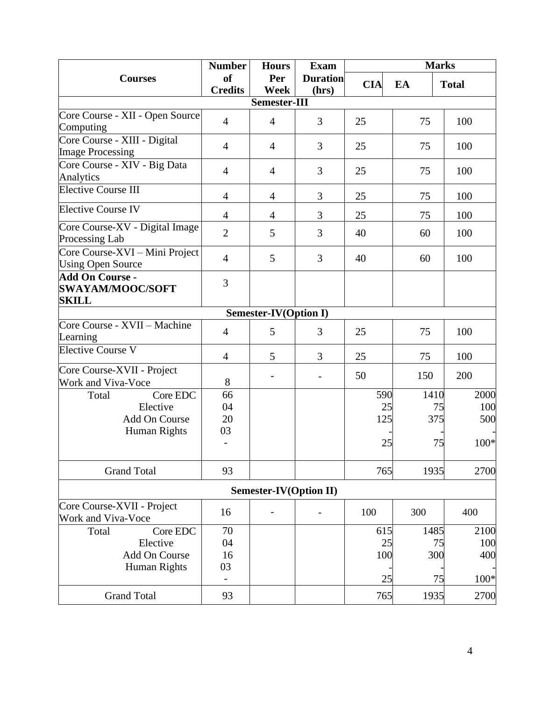|                                                                   | <b>Number</b>  | <b>Hours</b>                  | <b>Exam</b>              | <b>Marks</b> |      |              |
|-------------------------------------------------------------------|----------------|-------------------------------|--------------------------|--------------|------|--------------|
| <b>Courses</b>                                                    | <b>of</b>      | Per                           | <b>Duration</b>          | <b>CIA</b>   | EA   | <b>Total</b> |
|                                                                   | <b>Credits</b> | <b>Week</b>                   | (hrs)                    |              |      |              |
|                                                                   |                | Semester-III                  |                          |              |      |              |
| Core Course - XII - Open Source<br>Computing                      | $\overline{4}$ | $\overline{4}$                | 3                        | 25           | 75   | 100          |
| Core Course - XIII - Digital<br><b>Image Processing</b>           | $\overline{4}$ | $\overline{4}$                | 3                        | 25           | 75   | 100          |
| Core Course - XIV - Big Data<br>Analytics                         | $\overline{4}$ | $\overline{4}$                | 3                        | 25           | 75   | 100          |
| <b>Elective Course III</b>                                        | $\overline{4}$ | $\overline{4}$                | 3                        | 25           | 75   | 100          |
| <b>Elective Course IV</b>                                         | $\overline{4}$ | $\overline{4}$                | 3                        | 25           | 75   | 100          |
| Core Course-XV - Digital Image<br>Processing Lab                  | $\overline{2}$ | 5                             | 3                        | 40           | 60   | 100          |
| Core Course-XVI - Mini Project<br><b>Using Open Source</b>        | $\overline{4}$ | 5                             | 3                        | 40           | 60   | 100          |
| <b>Add On Course -</b><br><b>SWAYAM/MOOC/SOFT</b><br><b>SKILL</b> | 3              |                               |                          |              |      |              |
|                                                                   |                | <b>Semester-IV(Option I)</b>  |                          |              |      |              |
| Core Course - XVII - Machine<br>Learning                          | $\overline{4}$ | 5                             | 3                        | 25           | 75   | 100          |
| Elective Course V                                                 | $\overline{4}$ | 5                             | 3                        | 25           | 75   | 100          |
| Core Course-XVII - Project                                        |                |                               |                          | 50           | 150  | 200          |
| Work and Viva-Voce                                                | 8              | $\qquad \qquad -$             | $\overline{\phantom{a}}$ |              |      |              |
| Core EDC<br>Total                                                 | 66             |                               |                          | 590          | 1410 | 2000         |
| Elective                                                          | 04             |                               |                          | 25           | 75   | 100          |
| Add On Course                                                     | 20             |                               |                          | 125          | 375  | 500          |
| <b>Human Rights</b>                                               | 03             |                               |                          |              |      |              |
|                                                                   |                |                               |                          | 25           | 75   | 100*         |
| <b>Grand Total</b>                                                | 93             |                               |                          | 765          | 1935 | 2700         |
|                                                                   |                | <b>Semester-IV(Option II)</b> |                          |              |      |              |
| Core Course-XVII - Project<br>Work and Viva-Voce                  | 16             |                               |                          | 100          | 300  | 400          |
| Total<br>Core EDC                                                 | 70             |                               |                          | 615          | 1485 | 2100         |
|                                                                   | 04             |                               |                          |              |      | 100          |
| Elective                                                          |                |                               |                          | 25           | 75   |              |
| Add On Course                                                     | 16             |                               |                          | 100          | 300  | 400          |
| <b>Human Rights</b>                                               | 03             |                               |                          | 25           | 75   | 100*         |
| <b>Grand Total</b>                                                | 93             |                               |                          | 765          | 1935 | 2700         |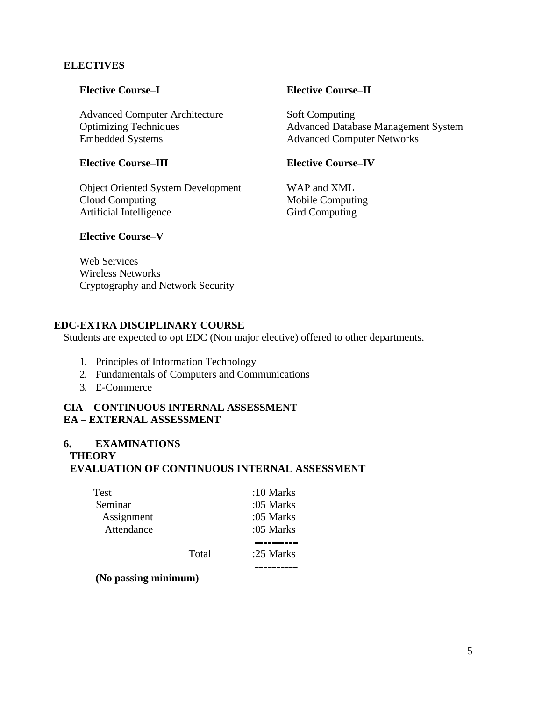# **ELECTIVES**

Advanced Computer Architecture Soft Computing Embedded Systems Advanced Computer Networks

# **Elective Course–III Elective Course–IV**

Object Oriented System Development WAP and XML Cloud Computing Mobile Computing Artificial Intelligence Gird Computing

# **Elective Course–I Elective Course–II**

Optimizing Techniques Advanced Database Management System

# **Elective Course–V**

Web Services Wireless Networks Cryptography and Network Security

# **EDC-EXTRA DISCIPLINARY COURSE**

Students are expected to opt EDC (Non major elective) offered to other departments.

- 1. Principles of Information Technology
- 2. Fundamentals of Computers and Communications
- 3. E-Commerce

# **CIA** – **CONTINUOUS INTERNAL ASSESSMENT EA – EXTERNAL ASSESSMENT**

# **6. EXAMINATIONS**

## **THEORY**

# **EVALUATION OF CONTINUOUS INTERNAL ASSESSMENT**

| Test       |       | :10 Marks |
|------------|-------|-----------|
| Seminar    |       | :05 Marks |
| Assignment |       | :05 Marks |
| Attendance |       | :05 Marks |
|            |       |           |
|            | Total | :25 Marks |

**(No passing minimum)**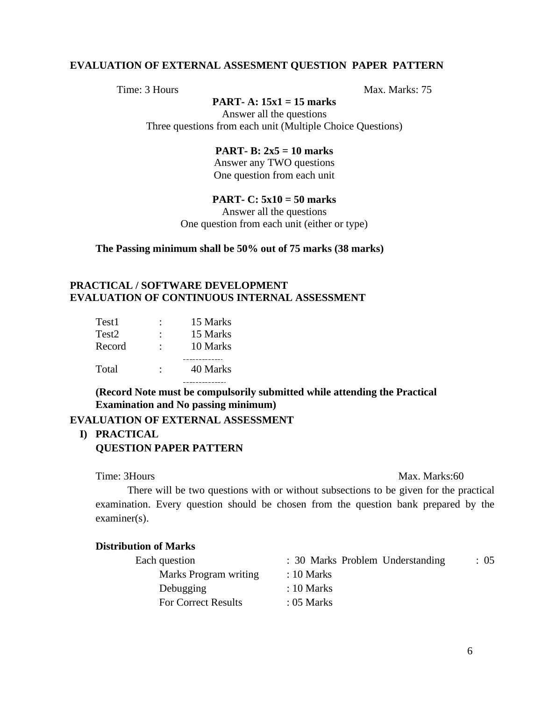## **EVALUATION OF EXTERNAL ASSESMENT QUESTION PAPER PATTERN**

Time: 3 Hours Max. Marks: 75

# **PART- A: 15x1 = 15 marks**

Answer all the questions Three questions from each unit (Multiple Choice Questions)

## **PART- B: 2x5 = 10 marks**

Answer any TWO questions One question from each unit

# **PART- C: 5x10 = 50 marks**

Answer all the questions One question from each unit (either or type)

**The Passing minimum shall be 50% out of 75 marks (38 marks)**

# **PRACTICAL / SOFTWARE DEVELOPMENT EVALUATION OF CONTINUOUS INTERNAL ASSESSMENT**

| Test1  | 15 Marks |
|--------|----------|
| Test2  | 15 Marks |
| Record | 10 Marks |
| Total  | 40 Marks |
|        |          |

**(Record Note must be compulsorily submitted while attending the Practical Examination and No passing minimum)**

## **EVALUATION OF EXTERNAL ASSESSMENT**

## **I) PRACTICAL**

## **QUESTION PAPER PATTERN**

#### Time: 3Hours Max. Marks:60

There will be two questions with or without subsections to be given for the practical examination. Every question should be chosen from the question bank prepared by the examiner(s).

## **Distribution of Marks**

| Each question              | : 30 Marks Problem Understanding | : 05 |
|----------------------------|----------------------------------|------|
| Marks Program writing      | $: 10$ Marks                     |      |
| Debugging                  | $: 10$ Marks                     |      |
| <b>For Correct Results</b> | $: 05$ Marks                     |      |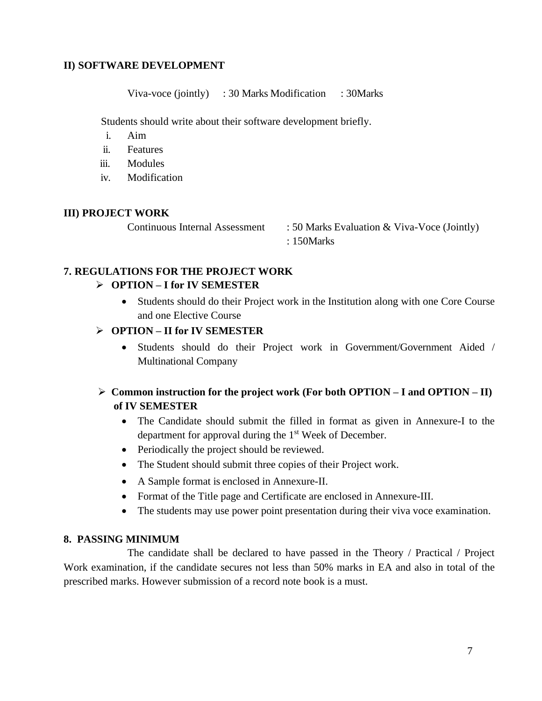# **II) SOFTWARE DEVELOPMENT**

Viva-voce (jointly) : 30 Marks Modification : 30Marks

Students should write about their software development briefly.

- i. Aim
- ii. Features
- iii. Modules
- iv. Modification

# **III) PROJECT WORK**

Continuous Internal Assessment : 50 Marks Evaluation & Viva-Voce (Jointly) : 150Marks

# **7. REGULATIONS FOR THE PROJECT WORK**

# ➢ **OPTION – I for IV SEMESTER**

• Students should do their Project work in the Institution along with one Core Course and one Elective Course

# ➢ **OPTION – II for IV SEMESTER**

• Students should do their Project work in Government/Government Aided / Multinational Company

# ➢ **Common instruction for the project work (For both OPTION – I and OPTION – II) of IV SEMESTER**

- The Candidate should submit the filled in format as given in Annexure-I to the department for approval during the  $1<sup>st</sup>$  Week of December.
- Periodically the project should be reviewed.
- The Student should submit three copies of their Project work.
- A Sample format is enclosed in Annexure-II.
- Format of the Title page and Certificate are enclosed in Annexure-III.
- The students may use power point presentation during their viva voce examination.

# **8. PASSING MINIMUM**

The candidate shall be declared to have passed in the Theory / Practical / Project Work examination, if the candidate secures not less than 50% marks in EA and also in total of the prescribed marks. However submission of a record note book is a must.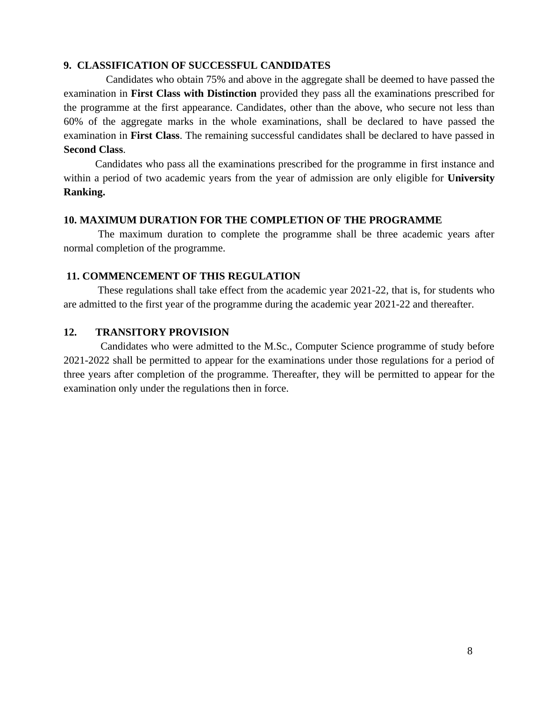## **9. CLASSIFICATION OF SUCCESSFUL CANDIDATES**

Candidates who obtain 75% and above in the aggregate shall be deemed to have passed the examination in **First Class with Distinction** provided they pass all the examinations prescribed for the programme at the first appearance. Candidates, other than the above, who secure not less than 60% of the aggregate marks in the whole examinations, shall be declared to have passed the examination in **First Class**. The remaining successful candidates shall be declared to have passed in **Second Class**.

Candidates who pass all the examinations prescribed for the programme in first instance and within a period of two academic years from the year of admission are only eligible for **University Ranking.**

## **10. MAXIMUM DURATION FOR THE COMPLETION OF THE PROGRAMME**

The maximum duration to complete the programme shall be three academic years after normal completion of the programme.

# **11. COMMENCEMENT OF THIS REGULATION**

These regulations shall take effect from the academic year 2021-22, that is, for students who are admitted to the first year of the programme during the academic year 2021-22 and thereafter.

# **12. TRANSITORY PROVISION**

Candidates who were admitted to the M.Sc., Computer Science programme of study before 2021-2022 shall be permitted to appear for the examinations under those regulations for a period of three years after completion of the programme. Thereafter, they will be permitted to appear for the examination only under the regulations then in force.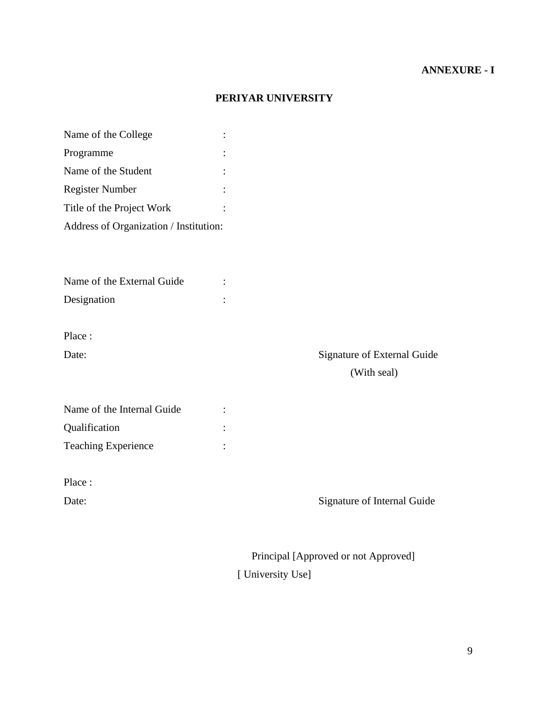# **ANNEXURE - I**

# **PERIYAR UNIVERSITY**

| Name of the College                    |                             |
|----------------------------------------|-----------------------------|
| Programme                              |                             |
| Name of the Student                    |                             |
| <b>Register Number</b>                 |                             |
| Title of the Project Work              |                             |
| Address of Organization / Institution: |                             |
|                                        |                             |
|                                        |                             |
| Name of the External Guide             |                             |
| Designation                            |                             |
|                                        |                             |
| Place:                                 |                             |
| Date:                                  | Signature of External Guide |
|                                        | (With seal)                 |
|                                        |                             |
| Name of the Internal Guide             |                             |
| Qualification                          |                             |
|                                        |                             |
| <b>Teaching Experience</b>             |                             |
|                                        |                             |
| Place:                                 |                             |
| Date:                                  | Signature of Internal Guide |

Principal [Approved or not Approved] [ University Use]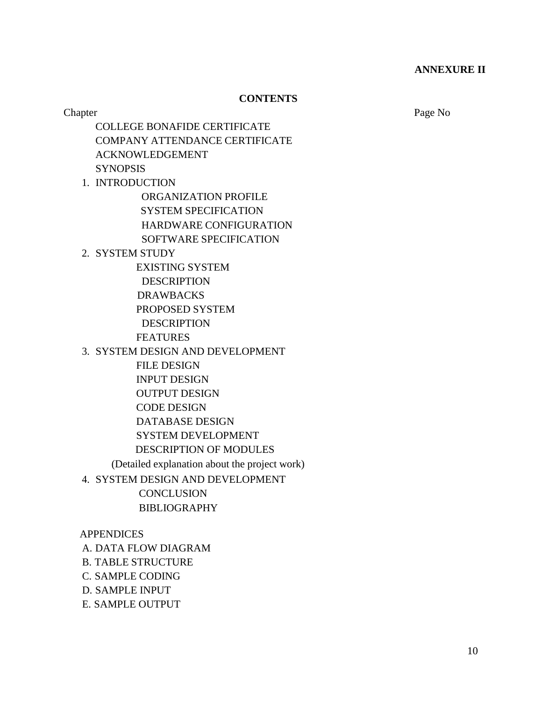## **ANNEXURE II**

# **CONTENTS**

Chapter Page No

COLLEGE BONAFIDE CERTIFICATE COMPANY ATTENDANCE CERTIFICATE ACKNOWLEDGEMENT **SYNOPSIS** 

1. INTRODUCTION ORGANIZATION PROFILE SYSTEM SPECIFICATION HARDWARE CONFIGURATION SOFTWARE SPECIFICATION

2. SYSTEM STUDY

EXISTING SYSTEM

 DESCRIPTION DRAWBACKS PROPOSED SYSTEM DESCRIPTION

FEATURES

3. SYSTEM DESIGN AND DEVELOPMENT

 FILE DESIGN INPUT DESIGN OUTPUT DESIGN CODE DESIGN DATABASE DESIGN SYSTEM DEVELOPMENT DESCRIPTION OF MODULES (Detailed explanation about the project work)

4. SYSTEM DESIGN AND DEVELOPMENT **CONCLUSION** BIBLIOGRAPHY

**APPENDICES** A. DATA FLOW DIAGRAM B. TABLE STRUCTURE C. SAMPLE CODING D. SAMPLE INPUT E. SAMPLE OUTPUT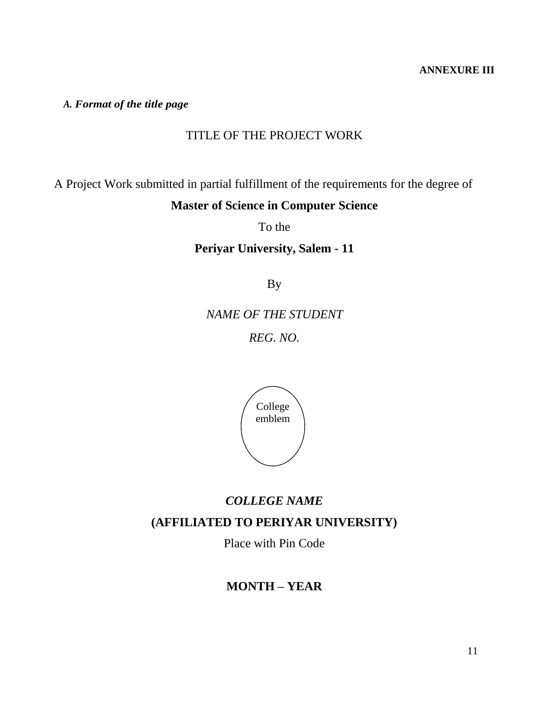# **ANNEXURE III**

*A. Format of the title page*

# TITLE OF THE PROJECT WORK

A Project Work submitted in partial fulfillment of the requirements for the degree of **Master of Science in Computer Science**

To the

# **Periyar University, Salem - 11**

By

*NAME OF THE STUDENT REG. NO.*



# *COLLEGE NAME*

# **(AFFILIATED TO PERIYAR UNIVERSITY)**

Place with Pin Code

# **MONTH – YEAR**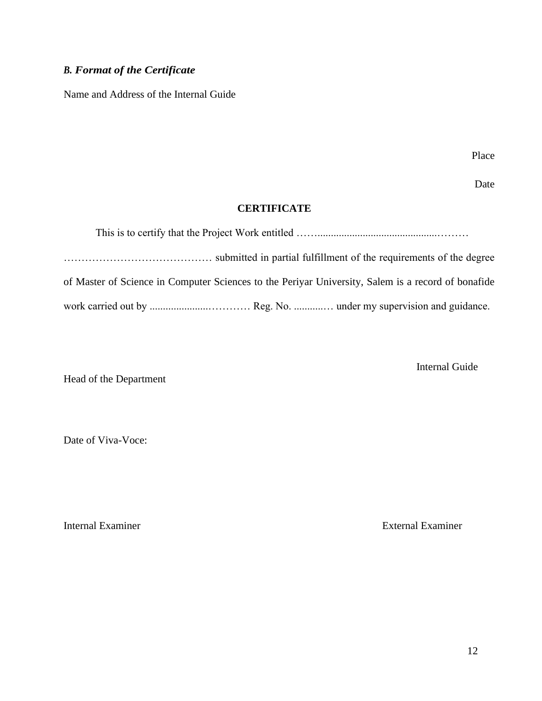# *B. Format of the Certificate*

Name and Address of the Internal Guide

Place

Date

# **CERTIFICATE**

| of Master of Science in Computer Sciences to the Periyar University, Salem is a record of bonafide |
|----------------------------------------------------------------------------------------------------|
|                                                                                                    |

Internal Guide

Head of the Department

Date of Viva-Voce:

Internal Examiner **External Examiner** External Examiner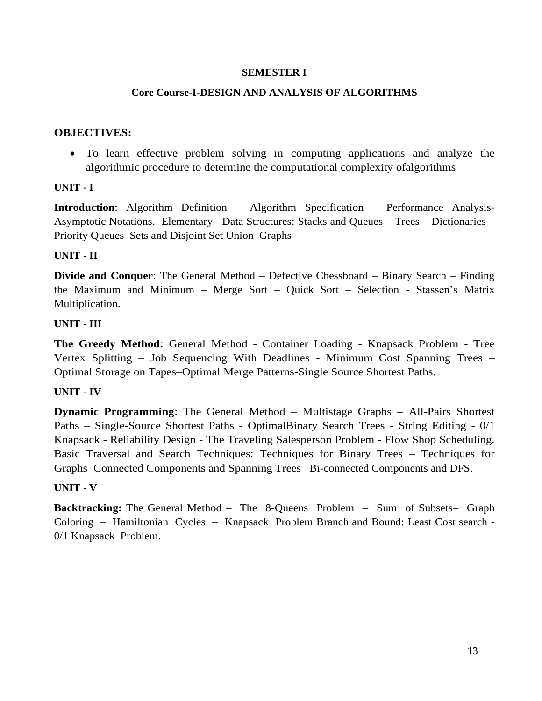# **SEMESTER I**

# **Core Course-I-DESIGN AND ANALYSIS OF ALGORITHMS**

## **OBJECTIVES:**

• To learn effective problem solving in computing applications and analyze the algorithmic procedure to determine the computational complexity ofalgorithms

# **UNIT - I**

**Introduction**: Algorithm Definition – Algorithm Specification – Performance Analysis-Asymptotic Notations. Elementary Data Structures: Stacks and Queues – Trees – Dictionaries – Priority Queues–Sets and Disjoint Set Union–Graphs

# **UNIT - II**

**Divide and Conquer**: The General Method – Defective Chessboard – Binary Search – Finding the Maximum and Minimum – Merge Sort – Quick Sort – Selection - Stassen's Matrix Multiplication.

# **UNIT - III**

**The Greedy Method**: General Method - Container Loading - Knapsack Problem - Tree Vertex Splitting – Job Sequencing With Deadlines - Minimum Cost Spanning Trees – Optimal Storage on Tapes–Optimal Merge Patterns-Single Source Shortest Paths.

## **UNIT - IV**

**Dynamic Programming**: The General Method – Multistage Graphs – All-Pairs Shortest Paths – Single-Source Shortest Paths - OptimalBinary Search Trees - String Editing - 0/1 Knapsack - Reliability Design - The Traveling Salesperson Problem - Flow Shop Scheduling. Basic Traversal and Search Techniques: Techniques for Binary Trees – Techniques for Graphs–Connected Components and Spanning Trees– Bi-connected Components and DFS.

## **UNIT - V**

**Backtracking:** The General Method – The 8-Queens Problem – Sum of Subsets– Graph Coloring – Hamiltonian Cycles – Knapsack Problem Branch and Bound: Least Cost search - 0/1 Knapsack Problem.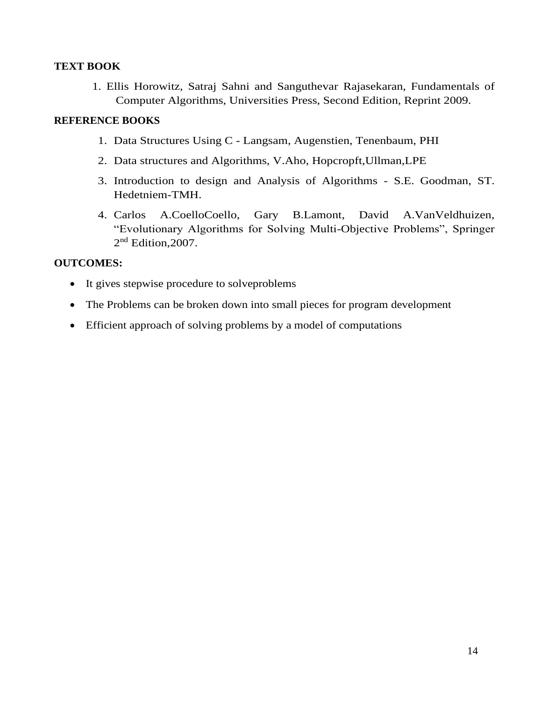# **TEXT BOOK**

1. Ellis Horowitz, Satraj Sahni and Sanguthevar Rajasekaran, Fundamentals of Computer Algorithms, Universities Press, Second Edition, Reprint 2009.

# **REFERENCE BOOKS**

- 1. Data Structures Using C Langsam, Augenstien, Tenenbaum, PHI
- 2. Data structures and Algorithms, V.Aho, Hopcropft,Ullman,LPE
- 3. Introduction to design and Analysis of Algorithms S.E. Goodman, ST. Hedetniem-TMH.
- 4. Carlos A.CoelloCoello, Gary B.Lamont, David A.VanVeldhuizen, "Evolutionary Algorithms for Solving Multi-Objective Problems", Springer 2<sup>nd</sup> Edition, 2007.

# **OUTCOMES:**

- It gives stepwise procedure to solveproblems
- The Problems can be broken down into small pieces for program development
- Efficient approach of solving problems by a model of computations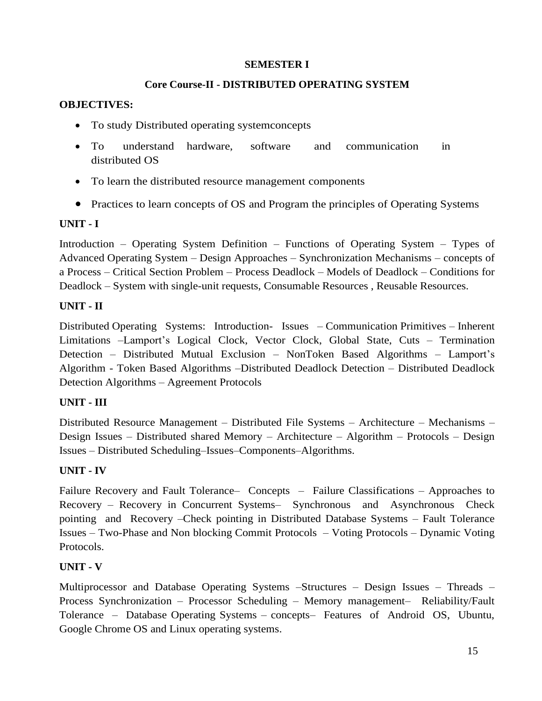# **SEMESTER I**

# **Core Course-II - DISTRIBUTED OPERATING SYSTEM**

# **OBJECTIVES:**

- To study Distributed operating system concepts
- To understand hardware, software and communication in distributed OS
- To learn the distributed resource management components
- Practices to learn concepts of OS and Program the principles of Operating Systems

# **UNIT - I**

Introduction – Operating System Definition – Functions of Operating System – Types of Advanced Operating System – Design Approaches – Synchronization Mechanisms – concepts of a Process – Critical Section Problem – Process Deadlock – Models of Deadlock – Conditions for Deadlock – System with single-unit requests, Consumable Resources , Reusable Resources.

# **UNIT - II**

Distributed Operating Systems: Introduction- Issues – Communication Primitives – Inherent Limitations –Lamport's Logical Clock, Vector Clock, Global State, Cuts – Termination Detection – Distributed Mutual Exclusion – NonToken Based Algorithms – Lamport's Algorithm - Token Based Algorithms –Distributed Deadlock Detection – Distributed Deadlock Detection Algorithms – Agreement Protocols

# **UNIT - III**

Distributed Resource Management – Distributed File Systems – Architecture – Mechanisms – Design Issues – Distributed shared Memory – Architecture – Algorithm – Protocols – Design Issues – Distributed Scheduling–Issues–Components–Algorithms.

# **UNIT - IV**

Failure Recovery and Fault Tolerance– Concepts – Failure Classifications – Approaches to Recovery – Recovery in Concurrent Systems– Synchronous and Asynchronous Check pointing and Recovery –Check pointing in Distributed Database Systems – Fault Tolerance Issues – Two-Phase and Non blocking Commit Protocols – Voting Protocols – Dynamic Voting Protocols.

# **UNIT - V**

Multiprocessor and Database Operating Systems –Structures – Design Issues – Threads – Process Synchronization – Processor Scheduling – Memory management– Reliability/Fault Tolerance – Database Operating Systems – concepts– Features of Android OS, Ubuntu, Google Chrome OS and Linux operating systems.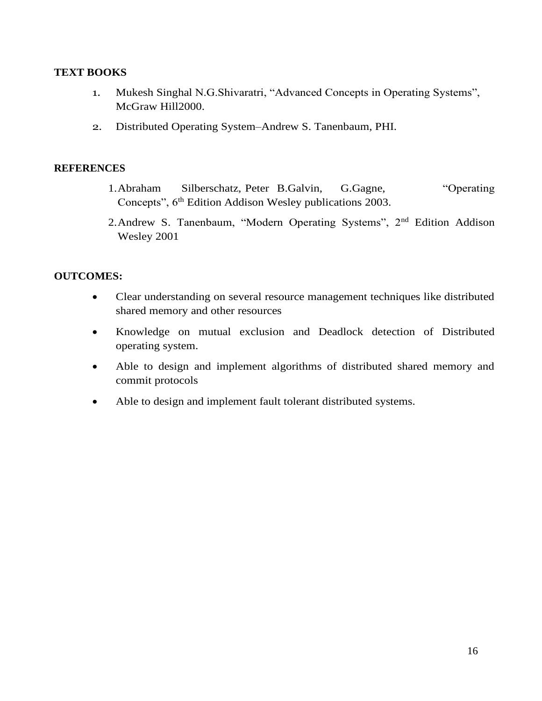# **TEXT BOOKS**

- 1. Mukesh Singhal N.G.Shivaratri, "Advanced Concepts in Operating Systems", McGraw Hill2000.
- 2. Distributed Operating System–Andrew S. Tanenbaum, PHI.

## **REFERENCES**

- 1.Abraham Silberschatz, Peter B.Galvin, G.Gagne, "Operating Concepts",  $6<sup>th</sup>$  Edition Addison Wesley publications 2003.
- 2.Andrew S. Tanenbaum, "Modern Operating Systems", 2nd Edition Addison Wesley 2001

# **OUTCOMES:**

- Clear understanding on several resource management techniques like distributed shared memory and other resources
- Knowledge on mutual exclusion and Deadlock detection of Distributed operating system.
- Able to design and implement algorithms of distributed shared memory and commit protocols
- Able to design and implement fault tolerant distributed systems.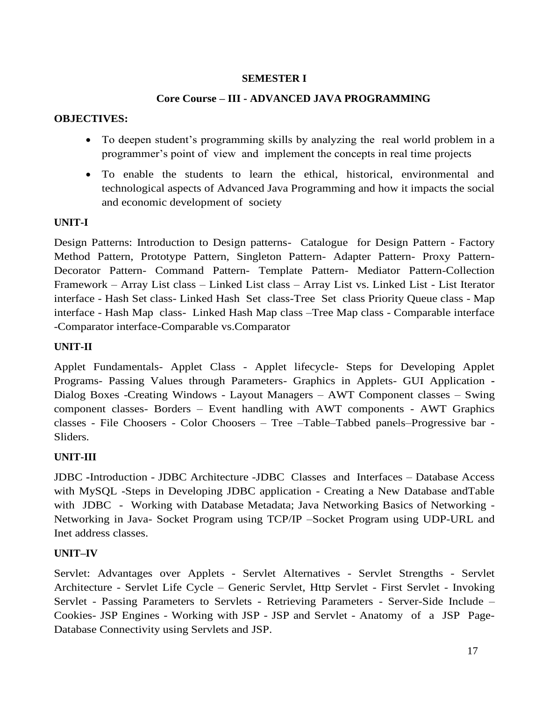# **SEMESTER I**

# **Core Course – III - ADVANCED JAVA PROGRAMMING**

# **OBJECTIVES:**

- To deepen student's programming skills by analyzing the real world problem in a programmer's point of view and implement the concepts in real time projects
- To enable the students to learn the ethical, historical, environmental and technological aspects of Advanced Java Programming and how it impacts the social and economic development of society

# **UNIT-I**

Design Patterns: Introduction to Design patterns- Catalogue for Design Pattern - Factory Method Pattern, Prototype Pattern, Singleton Pattern- Adapter Pattern- Proxy Pattern-Decorator Pattern- Command Pattern- Template Pattern- Mediator Pattern-Collection Framework – Array List class – Linked List class – Array List vs. Linked List - List Iterator interface - Hash Set class- Linked Hash Set class-Tree Set class Priority Queue class - Map interface - Hash Map class- Linked Hash Map class –Tree Map class - Comparable interface -Comparator interface-Comparable vs.Comparator

# **UNIT-II**

Applet Fundamentals- Applet Class - Applet lifecycle- Steps for Developing Applet Programs- Passing Values through Parameters- Graphics in Applets- GUI Application **-** Dialog Boxes -Creating Windows - Layout Managers – AWT Component classes – Swing component classes- Borders – Event handling with AWT components - AWT Graphics classes - File Choosers - Color Choosers – Tree –Table–Tabbed panels–Progressive bar - Sliders.

# **UNIT-III**

JDBC **-**Introduction - JDBC Architecture -JDBC Classes and Interfaces – Database Access with MySQL -Steps in Developing JDBC application - Creating a New Database andTable with JDBC - Working with Database Metadata; Java Networking Basics of Networking -Networking in Java- Socket Program using TCP/IP –Socket Program using UDP-URL and Inet address classes.

# **UNIT–IV**

Servlet: Advantages over Applets - Servlet Alternatives - Servlet Strengths - Servlet Architecture - Servlet Life Cycle – Generic Servlet, Http Servlet - First Servlet - Invoking Servlet - Passing Parameters to Servlets - Retrieving Parameters - Server-Side Include – Cookies- JSP Engines - Working with JSP - JSP and Servlet - Anatomy of a JSP Page-Database Connectivity using Servlets and JSP.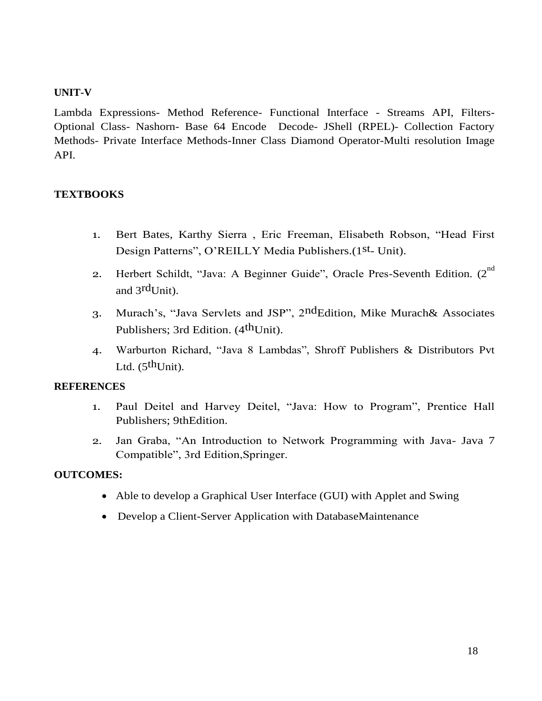# **UNIT-V**

Lambda Expressions- Method Reference- Functional Interface - Streams API, Filters-Optional Class- Nashorn- Base 64 Encode Decode- JShell (RPEL)- Collection Factory Methods- Private Interface Methods-Inner Class Diamond Operator-Multi resolution Image API.

# **TEXTBOOKS**

- 1. Bert Bates, Karthy Sierra , Eric Freeman, Elisabeth Robson, "Head First Design Patterns", O'REILLY Media Publishers.(1st- Unit).
- 2. Herbert Schildt, "Java: A Beginner Guide", Oracle Pres-Seventh Edition.  $2^{nd}$ and 3<sup>rd</sup>Unit).
- 3. Murach's, "Java Servlets and JSP", 2<sup>nd</sup>Edition, Mike Murach& Associates Publishers; 3rd Edition. (4<sup>th</sup>Unit).
- 4. Warburton Richard, "Java 8 Lambdas", Shroff Publishers & Distributors Pvt Ltd.  $(5^{\text{th}}$ Unit).

# **REFERENCES**

- 1. Paul Deitel and Harvey Deitel, "Java: How to Program", Prentice Hall Publishers; 9thEdition.
- 2. Jan Graba, "An Introduction to Network Programming with Java- Java 7 Compatible", 3rd Edition,Springer.

# **OUTCOMES:**

- Able to develop a Graphical User Interface (GUI) with Applet and Swing
- Develop a Client-Server Application with DatabaseMaintenance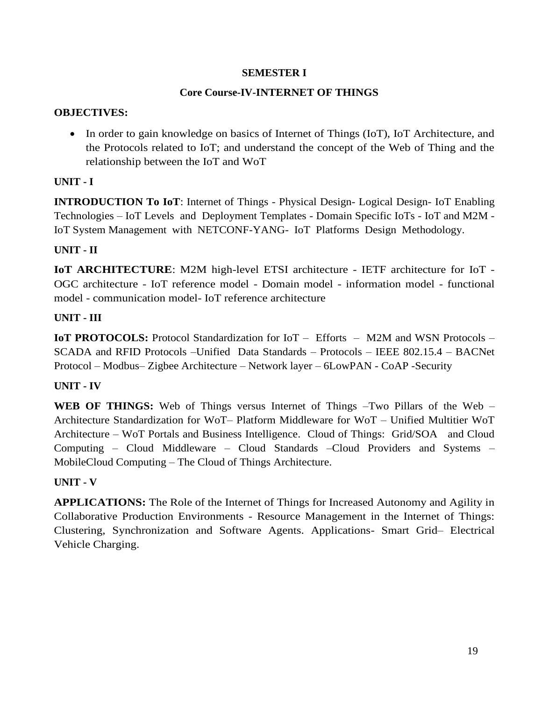# **SEMESTER I**

# **Core Course-IV-INTERNET OF THINGS**

# **OBJECTIVES:**

• In order to gain knowledge on basics of Internet of Things (IoT), IoT Architecture, and the Protocols related to IoT; and understand the concept of the Web of Thing and the relationship between the IoT and WoT

# **UNIT - I**

**INTRODUCTION To IoT**: Internet of Things - Physical Design- Logical Design- IoT Enabling Technologies – IoT Levels and Deployment Templates - Domain Specific IoTs - IoT and M2M - IoT System Management with NETCONF-YANG- IoT Platforms Design Methodology.

# **UNIT - II**

**IoT ARCHITECTURE**: M2M high-level ETSI architecture - IETF architecture for IoT - OGC architecture - IoT reference model - Domain model - information model - functional model - communication model- IoT reference architecture

# **UNIT - III**

**IoT PROTOCOLS:** Protocol Standardization for IoT – Efforts – M2M and WSN Protocols – SCADA and RFID Protocols –Unified Data Standards – Protocols – IEEE 802.15.4 – BACNet Protocol – Modbus– Zigbee Architecture – Network layer – 6LowPAN - CoAP -Security

# **UNIT - IV**

**WEB OF THINGS:** Web of Things versus Internet of Things –Two Pillars of the Web – Architecture Standardization for WoT– Platform Middleware for WoT – Unified Multitier WoT Architecture – WoT Portals and Business Intelligence. Cloud of Things: Grid/SOA and Cloud Computing – Cloud Middleware – Cloud Standards –Cloud Providers and Systems – MobileCloud Computing – The Cloud of Things Architecture.

# **UNIT - V**

**APPLICATIONS:** The Role of the Internet of Things for Increased Autonomy and Agility in Collaborative Production Environments - Resource Management in the Internet of Things: Clustering, Synchronization and Software Agents. Applications- Smart Grid– Electrical Vehicle Charging.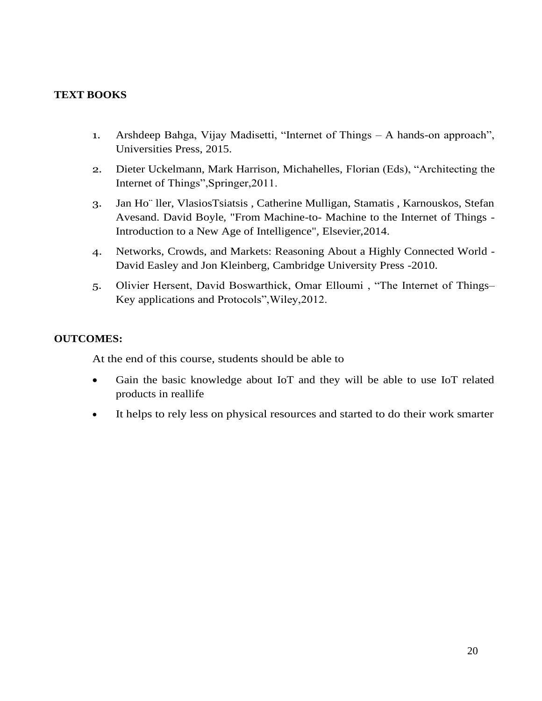# **TEXT BOOKS**

- 1. Arshdeep Bahga, Vijay Madisetti, "Internet of Things A hands-on approach", Universities Press, 2015.
- 2. Dieter Uckelmann, Mark Harrison, Michahelles, Florian (Eds), "Architecting the Internet of Things",Springer,2011.
- 3. Jan Ho¨ ller, VlasiosTsiatsis , Catherine Mulligan, Stamatis , Karnouskos, Stefan Avesand. David Boyle, "From Machine-to- Machine to the Internet of Things - Introduction to a New Age of Intelligence", Elsevier,2014.
- 4. Networks, Crowds, and Markets: Reasoning About a Highly Connected World David Easley and Jon Kleinberg, Cambridge University Press -2010.
- 5. Olivier Hersent, David Boswarthick, Omar Elloumi , "The Internet of Things– Key applications and Protocols",Wiley,2012.

# **OUTCOMES:**

At the end of this course, students should be able to

- Gain the basic knowledge about IoT and they will be able to use IoT related products in reallife
- It helps to rely less on physical resources and started to do their work smarter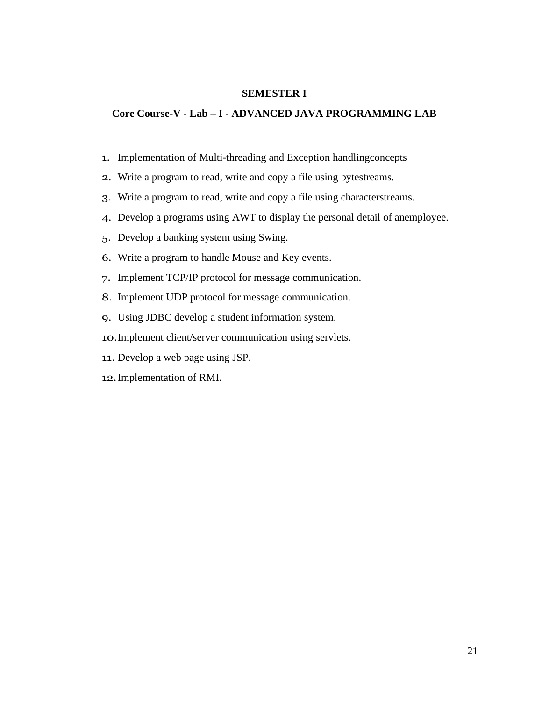## **SEMESTER I**

## **Core Course-V - Lab – I - ADVANCED JAVA PROGRAMMING LAB**

- 1. Implementation of Multi-threading and Exception handlingconcepts
- 2. Write a program to read, write and copy a file using bytestreams.
- 3. Write a program to read, write and copy a file using characterstreams.
- 4. Develop a programs using AWT to display the personal detail of anemployee.
- 5. Develop a banking system using Swing.
- 6. Write a program to handle Mouse and Key events.
- 7. Implement TCP/IP protocol for message communication.
- 8. Implement UDP protocol for message communication.
- 9. Using JDBC develop a student information system.
- 10.Implement client/server communication using servlets.
- 11. Develop a web page using JSP.
- 12.Implementation of RMI.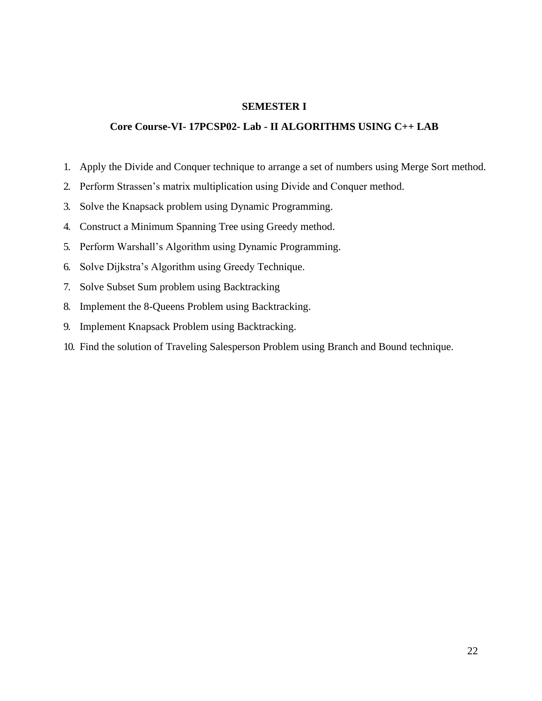#### **SEMESTER I**

## **Core Course-VI- 17PCSP02- Lab - II ALGORITHMS USING C++ LAB**

- 1. Apply the Divide and Conquer technique to arrange a set of numbers using Merge Sort method.
- 2. Perform Strassen's matrix multiplication using Divide and Conquer method.
- 3. Solve the Knapsack problem using Dynamic Programming.
- 4. Construct a Minimum Spanning Tree using Greedy method.
- 5. Perform Warshall's Algorithm using Dynamic Programming.
- 6. Solve Dijkstra's Algorithm using Greedy Technique.
- 7. Solve Subset Sum problem using Backtracking
- 8. Implement the 8-Queens Problem using Backtracking.
- 9. Implement Knapsack Problem using Backtracking.
- 10. Find the solution of Traveling Salesperson Problem using Branch and Bound technique.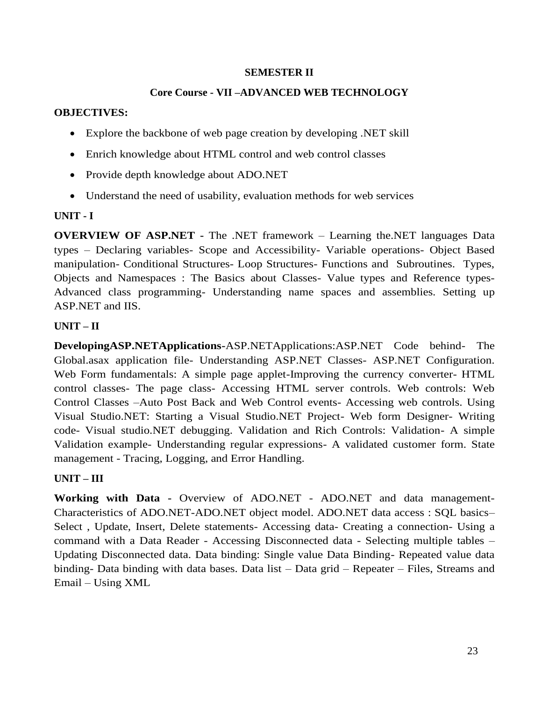# **SEMESTER II**

# **Core Course - VII –ADVANCED WEB TECHNOLOGY**

## **OBJECTIVES:**

- Explore the backbone of web page creation by developing .NET skill
- Enrich knowledge about HTML control and web control classes
- Provide depth knowledge about ADO.NET
- Understand the need of usability, evaluation methods for web services

# **UNIT - I**

**OVERVIEW OF ASP.NET -** The .NET framework – Learning the.NET languages Data types – Declaring variables- Scope and Accessibility- Variable operations- Object Based manipulation- Conditional Structures- Loop Structures- Functions and Subroutines. Types, Objects and Namespaces : The Basics about Classes- Value types and Reference types-Advanced class programming- Understanding name spaces and assemblies. Setting up ASP.NET and IIS.

# **UNIT – II**

**DevelopingASP.NETApplications-ASP.NETApplications:ASP.NET Code behind-** The Global.asax application file- Understanding ASP.NET Classes- ASP.NET Configuration. Web Form fundamentals: A simple page applet-Improving the currency converter- HTML control classes- The page class- Accessing HTML server controls. Web controls: Web Control Classes –Auto Post Back and Web Control events- Accessing web controls. Using Visual Studio.NET: Starting a Visual Studio.NET Project- Web form Designer- Writing code- Visual studio.NET debugging. Validation and Rich Controls: Validation- A simple Validation example- Understanding regular expressions- A validated customer form. State management - Tracing, Logging, and Error Handling.

# **UNIT – III**

**Working with Data -** Overview of ADO.NET - ADO.NET and data management-Characteristics of ADO.NET-ADO.NET object model. ADO.NET data access : SQL basics– Select , Update, Insert, Delete statements- Accessing data- Creating a connection- Using a command with a Data Reader - Accessing Disconnected data - Selecting multiple tables – Updating Disconnected data. Data binding: Single value Data Binding- Repeated value data binding- Data binding with data bases. Data list – Data grid – Repeater – Files, Streams and Email – Using XML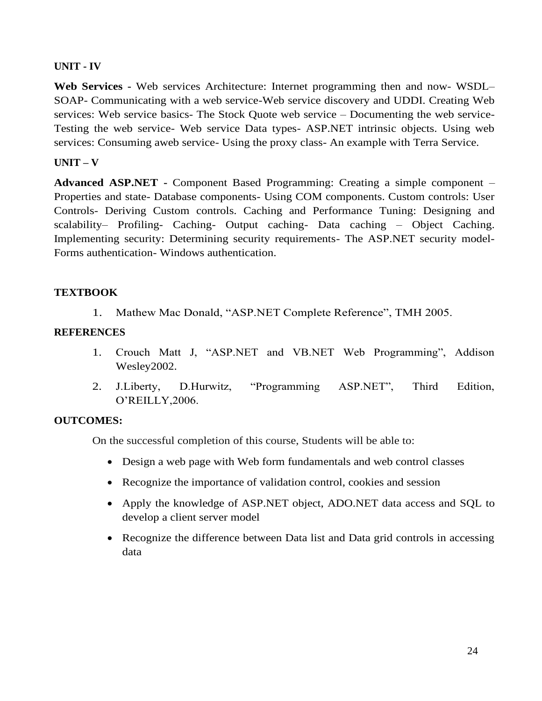# **UNIT - IV**

**Web Services -** Web services Architecture: Internet programming then and now- WSDL– SOAP- Communicating with a web service-Web service discovery and UDDI. Creating Web services: Web service basics- The Stock Quote web service – Documenting the web service-Testing the web service- Web service Data types- ASP.NET intrinsic objects. Using web services: Consuming aweb service- Using the proxy class- An example with Terra Service.

# **UNIT – V**

**Advanced ASP.NET -** Component Based Programming: Creating a simple component – Properties and state- Database components- Using COM components. Custom controls: User Controls- Deriving Custom controls. Caching and Performance Tuning: Designing and scalability– Profiling- Caching- Output caching- Data caching – Object Caching. Implementing security: Determining security requirements- The ASP.NET security model-Forms authentication- Windows authentication.

# **TEXTBOOK**

1. Mathew Mac Donald, "ASP.NET Complete Reference", TMH 2005.

# **REFERENCES**

- 1. Crouch Matt J, "ASP.NET and VB.NET Web Programming", Addison Wesley2002.
- 2. J.Liberty, D.Hurwitz, "Programming ASP.NET", Third Edition, O'REILLY,2006.

# **OUTCOMES:**

On the successful completion of this course, Students will be able to:

- Design a web page with Web form fundamentals and web control classes
- Recognize the importance of validation control, cookies and session
- Apply the knowledge of ASP.NET object, ADO.NET data access and SQL to develop a client server model
- Recognize the difference between Data list and Data grid controls in accessing data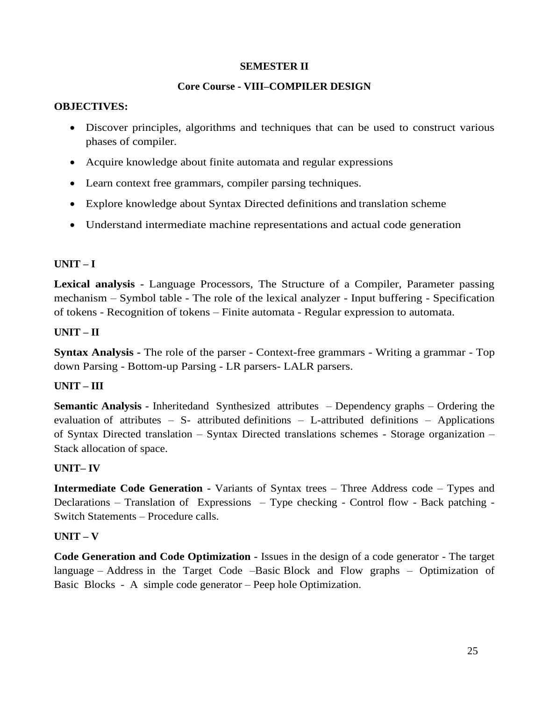# **SEMESTER II**

# **Core Course - VIII–COMPILER DESIGN**

## **OBJECTIVES:**

- Discover principles, algorithms and techniques that can be used to construct various phases of compiler.
- Acquire knowledge about finite automata and regular expressions
- Learn context free grammars, compiler parsing techniques.
- Explore knowledge about Syntax Directed definitions and translation scheme
- Understand intermediate machine representations and actual code generation

# **UNIT – I**

**Lexical analysis -** Language Processors, The Structure of a Compiler, Parameter passing mechanism – Symbol table - The role of the lexical analyzer - Input buffering - Specification of tokens - Recognition of tokens – Finite automata - Regular expression to automata.

# **UNIT – II**

**Syntax Analysis -** The role of the parser - Context-free grammars - Writing a grammar - Top down Parsing - Bottom-up Parsing - LR parsers- LALR parsers.

# **UNIT – III**

**Semantic Analysis -** Inheritedand Synthesized attributes – Dependency graphs – Ordering the evaluation of attributes – S- attributed definitions – L-attributed definitions – Applications of Syntax Directed translation – Syntax Directed translations schemes - Storage organization – Stack allocation of space.

## **UNIT– IV**

**Intermediate Code Generation -** Variants of Syntax trees – Three Address code – Types and Declarations – Translation of Expressions – Type checking - Control flow - Back patching - Switch Statements – Procedure calls.

## **UNIT – V**

**Code Generation and Code Optimization -** Issues in the design of a code generator - The target language – Address in the Target Code –Basic Block and Flow graphs – Optimization of Basic Blocks - A simple code generator – Peep hole Optimization.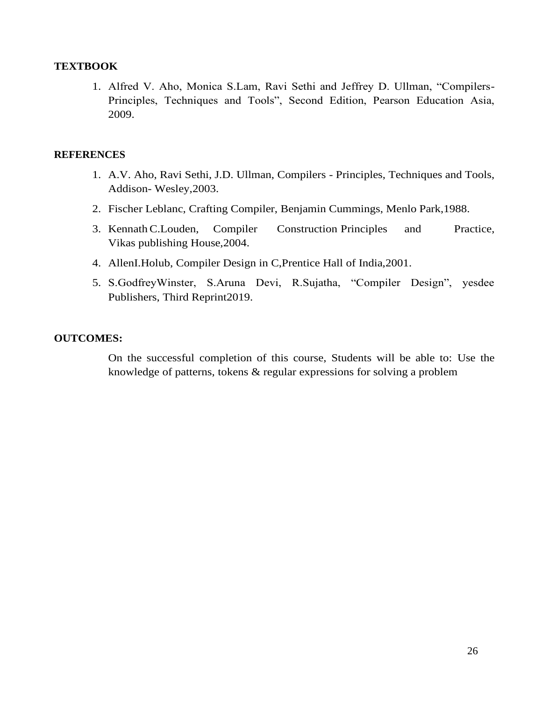# **TEXTBOOK**

1. Alfred V. Aho, Monica S.Lam, Ravi Sethi and Jeffrey D. Ullman, "Compilers-Principles, Techniques and Tools", Second Edition, Pearson Education Asia, 2009.

## **REFERENCES**

- 1. A.V. Aho, Ravi Sethi, J.D. Ullman, Compilers Principles, Techniques and Tools, Addison- Wesley,2003.
- 2. Fischer Leblanc, Crafting Compiler, Benjamin Cummings, Menlo Park,1988.
- 3. KennathC.Louden, Compiler Construction Principles and Practice, Vikas publishing House,2004.
- 4. AllenI.Holub, Compiler Design in C,Prentice Hall of India,2001.
- 5. S.GodfreyWinster, S.Aruna Devi, R.Sujatha, "Compiler Design", yesdee Publishers, Third Reprint2019.

## **OUTCOMES:**

On the successful completion of this course, Students will be able to: Use the knowledge of patterns, tokens & regular expressions for solving a problem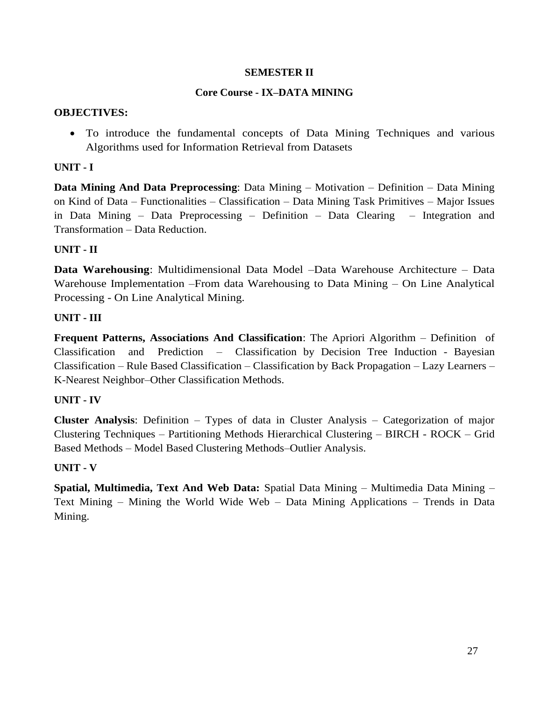# **SEMESTER II**

# **Core Course - IX–DATA MINING**

## **OBJECTIVES:**

• To introduce the fundamental concepts of Data Mining Techniques and various Algorithms used for Information Retrieval from Datasets

## **UNIT - I**

**Data Mining And Data Preprocessing**: Data Mining – Motivation – Definition – Data Mining on Kind of Data – Functionalities – Classification – Data Mining Task Primitives – Major Issues in Data Mining – Data Preprocessing – Definition – Data Clearing – Integration and Transformation – Data Reduction.

# **UNIT - II**

**Data Warehousing**: Multidimensional Data Model –Data Warehouse Architecture – Data Warehouse Implementation –From data Warehousing to Data Mining – On Line Analytical Processing - On Line Analytical Mining.

## **UNIT - III**

**Frequent Patterns, Associations And Classification**: The Apriori Algorithm – Definition of Classification and Prediction – Classification by Decision Tree Induction - Bayesian Classification – Rule Based Classification – Classification by Back Propagation – Lazy Learners – K-Nearest Neighbor–Other Classification Methods.

## **UNIT - IV**

**Cluster Analysis**: Definition – Types of data in Cluster Analysis – Categorization of major Clustering Techniques – Partitioning Methods Hierarchical Clustering – BIRCH - ROCK – Grid Based Methods – Model Based Clustering Methods–Outlier Analysis.

## **UNIT - V**

**Spatial, Multimedia, Text And Web Data:** Spatial Data Mining – Multimedia Data Mining – Text Mining – Mining the World Wide Web – Data Mining Applications – Trends in Data Mining.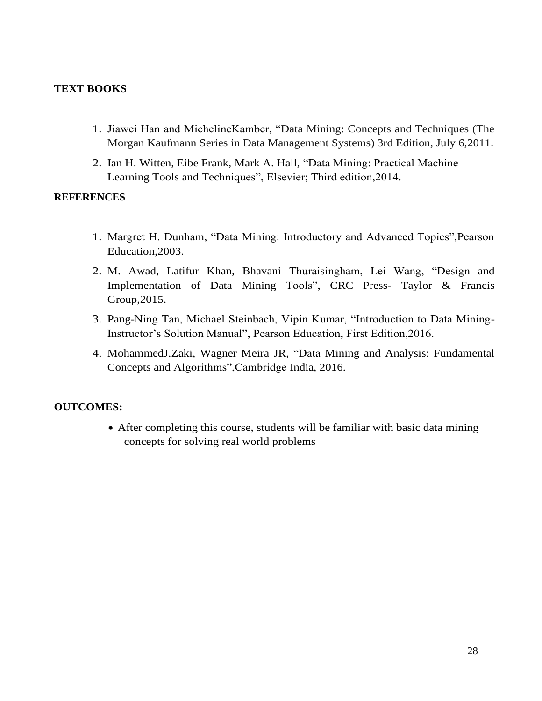# **TEXT BOOKS**

- 1. Jiawei Han and MichelineKamber, "Data Mining: Concepts and Techniques (The Morgan Kaufmann Series in Data Management Systems) 3rd Edition, July 6,2011.
- 2. Ian H. Witten, Eibe Frank, Mark A. Hall, "Data Mining: Practical Machine Learning Tools and Techniques", Elsevier; Third edition,2014.

# **REFERENCES**

- 1. Margret H. Dunham, "Data Mining: Introductory and Advanced Topics",Pearson Education,2003.
- 2. M. Awad, Latifur Khan, Bhavani Thuraisingham, Lei Wang, "Design and Implementation of Data Mining Tools", CRC Press- Taylor & Francis Group,2015.
- 3. Pang-Ning Tan, Michael Steinbach, Vipin Kumar, "Introduction to Data Mining-Instructor's Solution Manual", Pearson Education, First Edition,2016.
- 4. MohammedJ.Zaki, Wagner Meira JR, "Data Mining and Analysis: Fundamental Concepts and Algorithms",Cambridge India, 2016.

# **OUTCOMES:**

• After completing this course, students will be familiar with basic data mining concepts for solving real world problems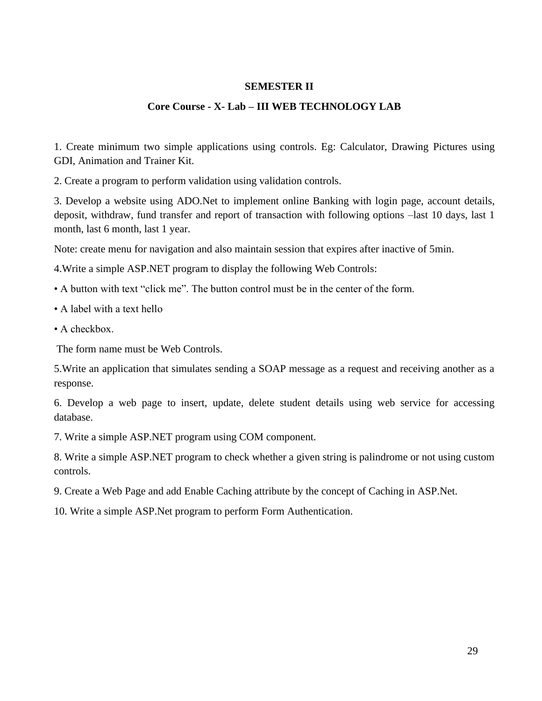## **SEMESTER II**

## **Core Course - X- Lab – III WEB TECHNOLOGY LAB**

1. Create minimum two simple applications using controls. Eg: Calculator, Drawing Pictures using GDI, Animation and Trainer Kit.

2. Create a program to perform validation using validation controls.

3. Develop a website using ADO.Net to implement online Banking with login page, account details, deposit, withdraw, fund transfer and report of transaction with following options –last 10 days, last 1 month, last 6 month, last 1 year.

Note: create menu for navigation and also maintain session that expires after inactive of 5min.

4.Write a simple ASP.NET program to display the following Web Controls:

- A button with text "click me". The button control must be in the center of the form.
- A label with a text hello
- A checkbox.

The form name must be Web Controls.

5.Write an application that simulates sending a SOAP message as a request and receiving another as a response.

6. Develop a web page to insert, update, delete student details using web service for accessing database.

7. Write a simple ASP.NET program using COM component.

8. Write a simple ASP.NET program to check whether a given string is palindrome or not using custom controls.

- 9. Create a Web Page and add Enable Caching attribute by the concept of Caching in ASP.Net.
- 10. Write a simple ASP.Net program to perform Form Authentication.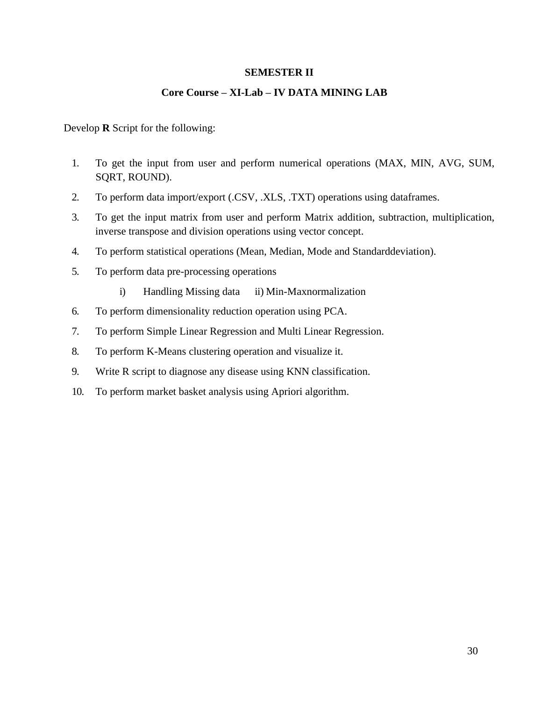# **SEMESTER II**

# **Core Course – XI-Lab – IV DATA MINING LAB**

Develop **R** Script for the following:

- 1. To get the input from user and perform numerical operations (MAX, MIN, AVG, SUM, SQRT, ROUND).
- 2. To perform data import/export (.CSV, .XLS, .TXT) operations using dataframes.
- 3. To get the input matrix from user and perform Matrix addition, subtraction, multiplication, inverse transpose and division operations using vector concept.
- 4. To perform statistical operations (Mean, Median, Mode and Standarddeviation).
- 5. To perform data pre-processing operations
	- i) Handling Missing data ii) Min-Maxnormalization
- 6. To perform dimensionality reduction operation using PCA.
- 7. To perform Simple Linear Regression and Multi Linear Regression.
- 8. To perform K-Means clustering operation and visualize it.
- 9. Write R script to diagnose any disease using KNN classification.
- 10. To perform market basket analysis using Apriori algorithm.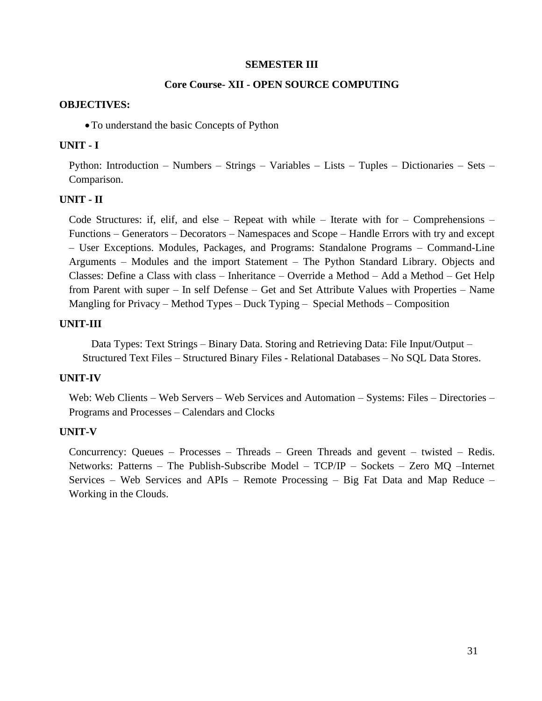### **SEMESTER III**

## **Core Course- XII - OPEN SOURCE COMPUTING**

### **OBJECTIVES:**

•To understand the basic Concepts of Python

## **UNIT - I**

Python: Introduction – Numbers – Strings – Variables – Lists – Tuples – Dictionaries – Sets – Comparison.

## **UNIT - II**

Code Structures: if, elif, and else – Repeat with while – Iterate with for – Comprehensions – Functions – Generators – Decorators – Namespaces and Scope – Handle Errors with try and except – User Exceptions. Modules, Packages, and Programs: Standalone Programs – Command-Line Arguments – Modules and the import Statement – The Python Standard Library. Objects and Classes: Define a Class with class – Inheritance – Override a Method – Add a Method – Get Help from Parent with super – In self Defense – Get and Set Attribute Values with Properties – Name Mangling for Privacy – Method Types – Duck Typing – Special Methods – Composition

## **UNIT-III**

Data Types: Text Strings – Binary Data. Storing and Retrieving Data: File Input/Output – Structured Text Files – Structured Binary Files - Relational Databases – No SQL Data Stores.

## **UNIT-IV**

Web: Web Clients – Web Servers – Web Services and Automation – Systems: Files – Directories – Programs and Processes – Calendars and Clocks

## **UNIT-V**

Concurrency: Queues – Processes – Threads – Green Threads and gevent – twisted – Redis. Networks: Patterns – The Publish-Subscribe Model – TCP/IP – Sockets – Zero MQ –Internet Services – Web Services and APIs – Remote Processing – Big Fat Data and Map Reduce – Working in the Clouds.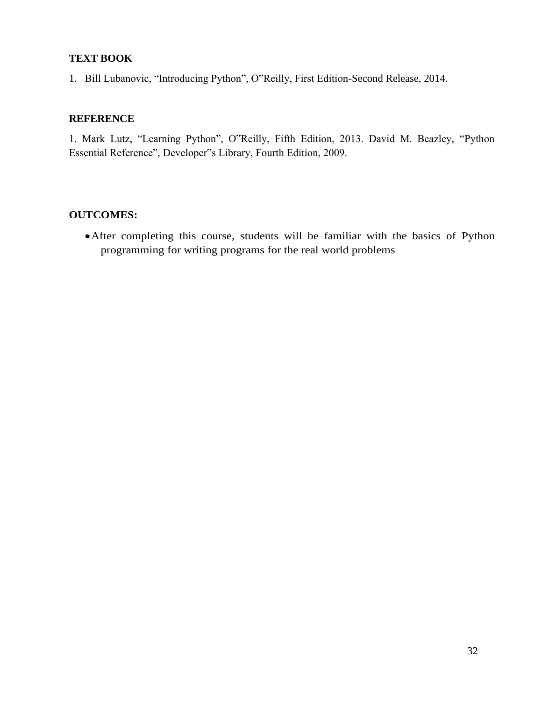# **TEXT BOOK**

1. Bill Lubanovic, "Introducing Python", O"Reilly, First Edition-Second Release, 2014.

# **REFERENCE**

1. Mark Lutz, "Learning Python", O"Reilly, Fifth Edition, 2013. David M. Beazley, "Python Essential Reference", Developer"s Library, Fourth Edition, 2009.

# **OUTCOMES:**

•After completing this course, students will be familiar with the basics of Python programming for writing programs for the real world problems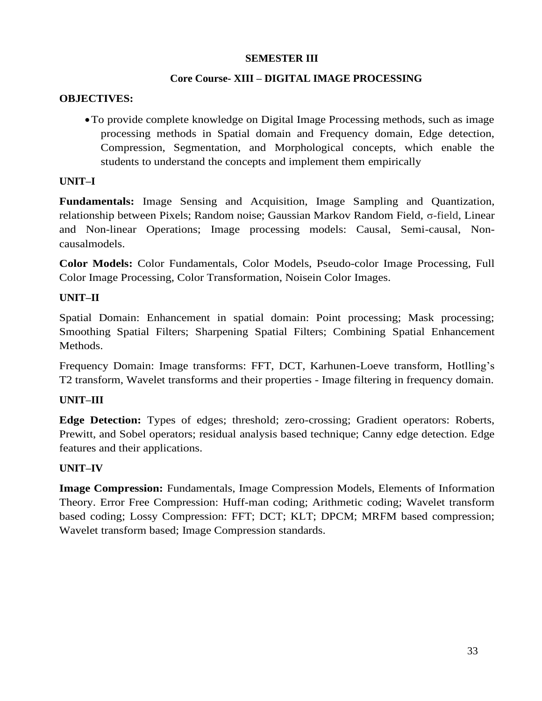# **SEMESTER III**

# **Core Course- XIII – DIGITAL IMAGE PROCESSING**

# **OBJECTIVES:**

•To provide complete knowledge on Digital Image Processing methods, such as image processing methods in Spatial domain and Frequency domain, Edge detection, Compression, Segmentation, and Morphological concepts, which enable the students to understand the concepts and implement them empirically

# **UNIT–I**

**Fundamentals:** Image Sensing and Acquisition, Image Sampling and Quantization, relationship between Pixels; Random noise; Gaussian Markov Random Field, σ-field, Linear and Non-linear Operations; Image processing models: Causal, Semi-causal, Noncausalmodels.

**Color Models:** Color Fundamentals, Color Models, Pseudo-color Image Processing, Full Color Image Processing, Color Transformation, Noisein Color Images.

# **UNIT–II**

Spatial Domain: Enhancement in spatial domain: Point processing; Mask processing; Smoothing Spatial Filters; Sharpening Spatial Filters; Combining Spatial Enhancement Methods.

Frequency Domain: Image transforms: FFT, DCT, Karhunen-Loeve transform, Hotlling's T2 transform, Wavelet transforms and their properties - Image filtering in frequency domain.

# **UNIT–III**

**Edge Detection:** Types of edges; threshold; zero-crossing; Gradient operators: Roberts, Prewitt, and Sobel operators; residual analysis based technique; Canny edge detection. Edge features and their applications.

# **UNIT–IV**

**Image Compression:** Fundamentals, Image Compression Models, Elements of Information Theory. Error Free Compression: Huff-man coding; Arithmetic coding; Wavelet transform based coding; Lossy Compression: FFT; DCT; KLT; DPCM; MRFM based compression; Wavelet transform based; Image Compression standards.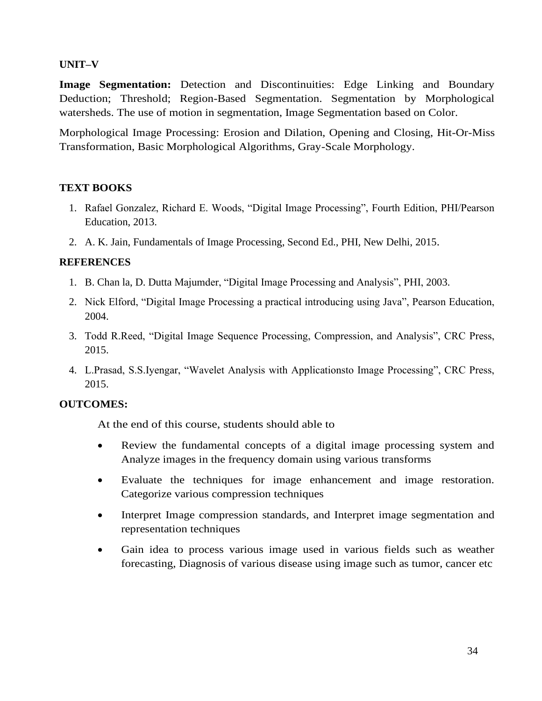# **UNIT–V**

**Image Segmentation:** Detection and Discontinuities: Edge Linking and Boundary Deduction; Threshold; Region-Based Segmentation. Segmentation by Morphological watersheds. The use of motion in segmentation, Image Segmentation based on Color.

Morphological Image Processing: Erosion and Dilation, Opening and Closing, Hit-Or-Miss Transformation, Basic Morphological Algorithms, Gray-Scale Morphology.

# **TEXT BOOKS**

- 1. Rafael Gonzalez, Richard E. Woods, "Digital Image Processing", Fourth Edition, PHI/Pearson Education, 2013.
- 2. A. K. Jain, Fundamentals of Image Processing, Second Ed., PHI, New Delhi, 2015.

## **REFERENCES**

- 1. B. Chan la, D. Dutta Majumder, "Digital Image Processing and Analysis", PHI, 2003.
- 2. Nick Elford, "Digital Image Processing a practical introducing using Java", Pearson Education, 2004.
- 3. Todd R.Reed, "Digital Image Sequence Processing, Compression, and Analysis", CRC Press, 2015.
- 4. L.Prasad, S.S.Iyengar, "Wavelet Analysis with Applicationsto Image Processing", CRC Press, 2015.

# **OUTCOMES:**

At the end of this course, students should able to

- Review the fundamental concepts of a digital image processing system and Analyze images in the frequency domain using various transforms
- Evaluate the techniques for image enhancement and image restoration. Categorize various compression techniques
- Interpret Image compression standards, and Interpret image segmentation and representation techniques
- Gain idea to process various image used in various fields such as weather forecasting, Diagnosis of various disease using image such as tumor, cancer etc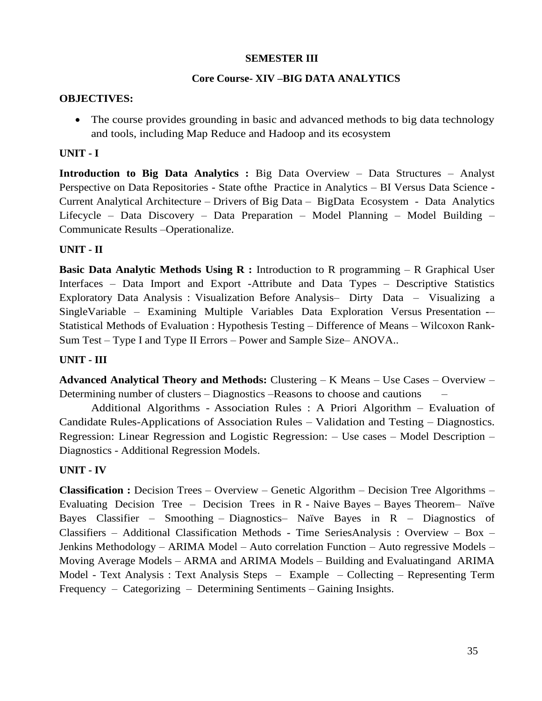# **SEMESTER III**

# **Core Course- XIV –BIG DATA ANALYTICS**

## **OBJECTIVES:**

• The course provides grounding in basic and advanced methods to big data technology and tools, including Map Reduce and Hadoop and its ecosystem

# **UNIT - I**

**Introduction to Big Data Analytics :** Big Data Overview – Data Structures – Analyst Perspective on Data Repositories - State ofthe Practice in Analytics – BI Versus Data Science - Current Analytical Architecture – Drivers of Big Data – BigData Ecosystem - Data Analytics Lifecycle – Data Discovery – Data Preparation – Model Planning – Model Building – Communicate Results –Operationalize.

# **UNIT - II**

**Basic Data Analytic Methods Using R :** Introduction to R programming – R Graphical User Interfaces – Data Import and Export -Attribute and Data Types – Descriptive Statistics Exploratory Data Analysis : Visualization Before Analysis– Dirty Data – Visualizing a SingleVariable – Examining Multiple Variables Data Exploration Versus Presentation -– Statistical Methods of Evaluation : Hypothesis Testing – Difference of Means – Wilcoxon Rank-Sum Test – Type I and Type II Errors – Power and Sample Size– ANOVA..

# **UNIT - III**

**Advanced Analytical Theory and Methods:** Clustering – K Means – Use Cases – Overview – Determining number of clusters – Diagnostics –Reasons to choose and cautions –

Additional Algorithms - Association Rules : A Priori Algorithm – Evaluation of Candidate Rules-Applications of Association Rules – Validation and Testing – Diagnostics. Regression: Linear Regression and Logistic Regression: – Use cases – Model Description – Diagnostics - Additional Regression Models.

# **UNIT - IV**

**Classification :** Decision Trees – Overview – Genetic Algorithm – Decision Tree Algorithms – Evaluating Decision Tree – Decision Trees in R - Naive Bayes – Bayes Theorem– Naïve Bayes Classifier – Smoothing – Diagnostics– Naïve Bayes in R – Diagnostics of Classifiers – Additional Classification Methods - Time SeriesAnalysis : Overview – Box – Jenkins Methodology – ARIMA Model – Auto correlation Function – Auto regressive Models – Moving Average Models – ARMA and ARIMA Models – Building and Evaluatingand ARIMA Model - Text Analysis : Text Analysis Steps – Example – Collecting – Representing Term Frequency – Categorizing – Determining Sentiments – Gaining Insights.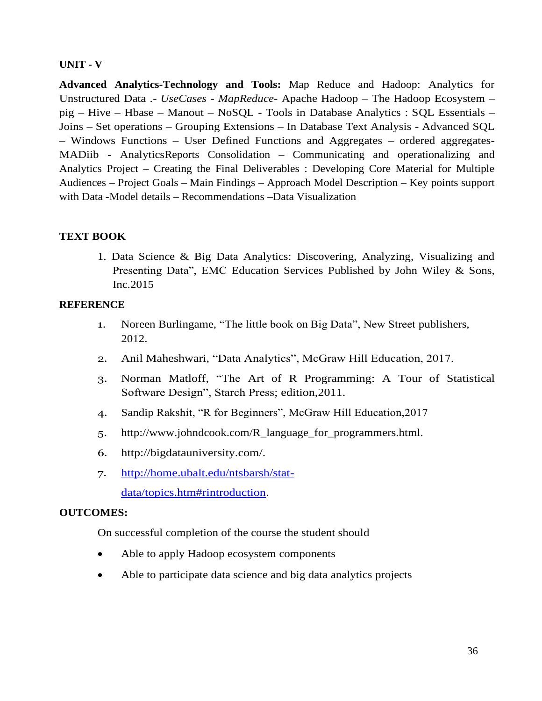# **UNIT - V**

**Advanced Analytics-Technology and Tools:** Map Reduce and Hadoop: Analytics for Unstructured Data .- *UseCases - MapReduce*- Apache Hadoop – The Hadoop Ecosystem – pig – Hive – Hbase – Manout – NoSQL - Tools in Database Analytics : SQL Essentials – Joins – Set operations – Grouping Extensions – In Database Text Analysis - Advanced SQL – Windows Functions – User Defined Functions and Aggregates – ordered aggregates-MADiib - AnalyticsReports Consolidation – Communicating and operationalizing and Analytics Project – Creating the Final Deliverables : Developing Core Material for Multiple Audiences – Project Goals – Main Findings – Approach Model Description – Key points support with Data -Model details – Recommendations –Data Visualization

# **TEXT BOOK**

1. Data Science & Big Data Analytics: Discovering, Analyzing, Visualizing and Presenting Data", EMC Education Services Published by John Wiley & Sons, Inc.2015

## **REFERENCE**

- 1. Noreen Burlingame, "The little book on Big Data", New Street publishers, 2012.
- 2. Anil Maheshwari, "Data Analytics", McGraw Hill Education, 2017.
- 3. Norman Matloff, "The Art of R Programming: A Tour of Statistical Software Design", Starch Press; edition,2011.
- 4. Sandip Rakshit, "R for Beginners", McGraw Hill Education,2017
- 5. [http://www.johndcook.com/R\\_language\\_for\\_programmers.html.](http://www.johndcook.com/R_language_for_programmers.html)
- 6. [http://bigdatauniversity.com/.](http://bigdatauniversity.com/)
- 7. [http://home.ubalt.edu/ntsbarsh/stat](http://home.ubalt.edu/ntsbarsh/stat-)data/topics.htm#rintroduction.

## **OUTCOMES:**

On successful completion of the course the student should

- Able to apply Hadoop ecosystem components
- Able to participate data science and big data analytics projects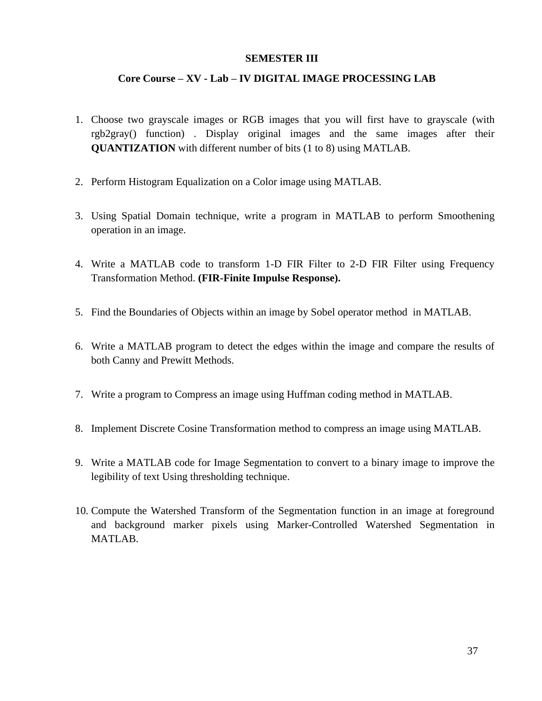#### **SEMESTER III**

#### **Core Course – XV - Lab – IV DIGITAL IMAGE PROCESSING LAB**

- 1. Choose two grayscale images or RGB images that you will first have to grayscale (with rgb2gray() function) . Display original images and the same images after their **QUANTIZATION** with different number of bits (1 to 8) using MATLAB.
- 2. Perform Histogram Equalization on a Color image using MATLAB.
- 3. Using Spatial Domain technique, write a program in MATLAB to perform Smoothening operation in an image.
- 4. Write a MATLAB code to transform 1-D FIR Filter to 2-D FIR Filter using Frequency Transformation Method. **(FIR-Finite Impulse Response).**
- 5. Find the Boundaries of Objects within an image by Sobel operator method in MATLAB.
- 6. Write a MATLAB program to detect the edges within the image and compare the results of both Canny and Prewitt Methods.
- 7. Write a program to Compress an image using Huffman coding method in MATLAB.
- 8. Implement Discrete Cosine Transformation method to compress an image using MATLAB.
- 9. Write a MATLAB code for Image Segmentation to convert to a binary image to improve the legibility of text Using thresholding technique.
- 10. Compute the Watershed Transform of the Segmentation function in an image at foreground and background marker pixels using Marker-Controlled Watershed Segmentation in MATLAB.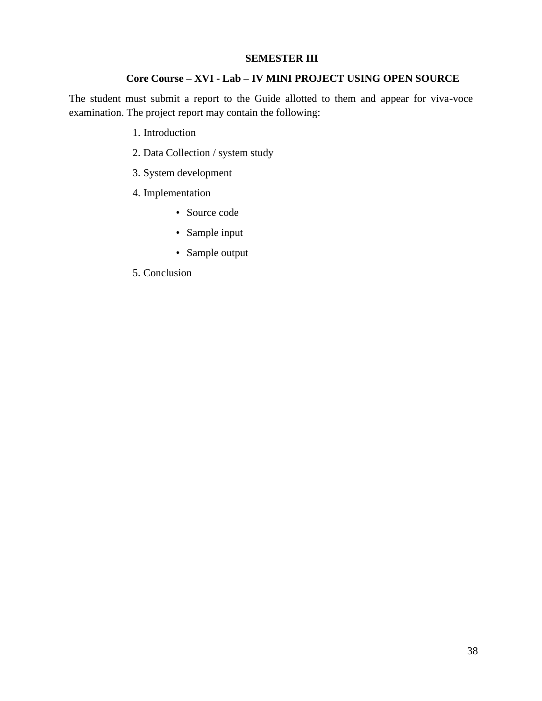#### **SEMESTER III**

#### **Core Course – XVI - Lab – IV MINI PROJECT USING OPEN SOURCE**

The student must submit a report to the Guide allotted to them and appear for viva-voce examination. The project report may contain the following:

- 1. Introduction
- 2. Data Collection / system study
- 3. System development
- 4. Implementation
	- Source code
	- Sample input
	- Sample output
- 5. Conclusion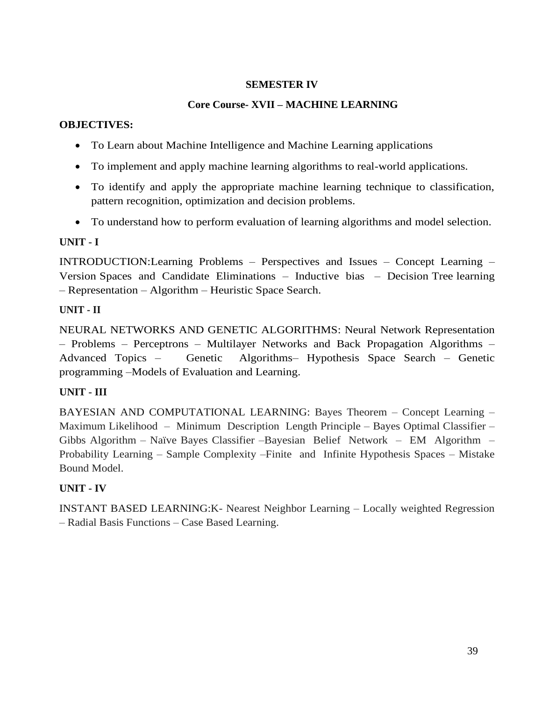### **SEMESTER IV**

# **Core Course- XVII – MACHINE LEARNING**

### **OBJECTIVES:**

- To Learn about Machine Intelligence and Machine Learning applications
- To implement and apply machine learning algorithms to real-world applications.
- To identify and apply the appropriate machine learning technique to classification, pattern recognition, optimization and decision problems.
- To understand how to perform evaluation of learning algorithms and model selection.

## **UNIT - I**

INTRODUCTION:Learning Problems – Perspectives and Issues – Concept Learning – Version Spaces and Candidate Eliminations – Inductive bias – Decision Tree learning – Representation – Algorithm – Heuristic Space Search.

# **UNIT - II**

NEURAL NETWORKS AND GENETIC ALGORITHMS: Neural Network Representation – Problems – Perceptrons – Multilayer Networks and Back Propagation Algorithms – Advanced Topics – Genetic Algorithms– Hypothesis Space Search – Genetic programming –Models of Evaluation and Learning.

# **UNIT - III**

BAYESIAN AND COMPUTATIONAL LEARNING: Bayes Theorem – Concept Learning – Maximum Likelihood – Minimum Description Length Principle – Bayes Optimal Classifier – Gibbs Algorithm – Naïve Bayes Classifier –Bayesian Belief Network – EM Algorithm – Probability Learning – Sample Complexity –Finite and Infinite Hypothesis Spaces – Mistake Bound Model.

# **UNIT - IV**

INSTANT BASED LEARNING:K- Nearest Neighbor Learning – Locally weighted Regression – Radial Basis Functions – Case Based Learning.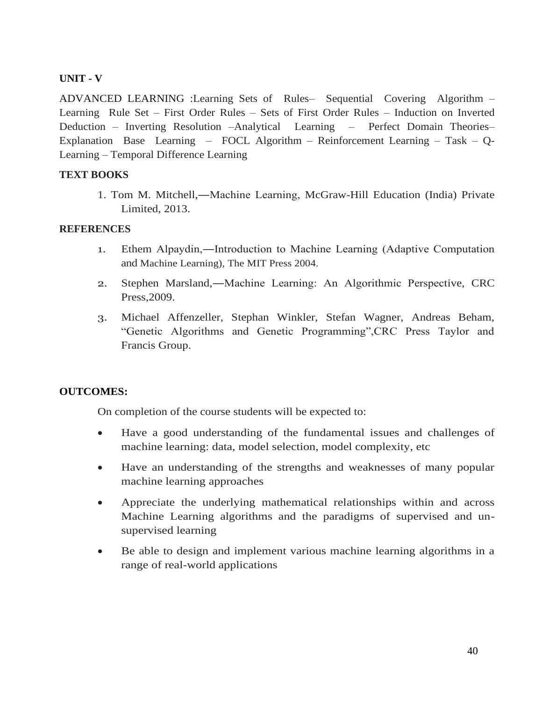### **UNIT - V**

ADVANCED LEARNING :Learning Sets of Rules– Sequential Covering Algorithm – Learning Rule Set – First Order Rules – Sets of First Order Rules – Induction on Inverted Deduction – Inverting Resolution –Analytical Learning – Perfect Domain Theories– Explanation Base Learning – FOCL Algorithm – Reinforcement Learning – Task – Q-Learning – Temporal Difference Learning

#### **TEXT BOOKS**

1. Tom M. Mitchell,―Machine Learning, McGraw-Hill Education (India) Private Limited, 2013.

#### **REFERENCES**

- 1. Ethem Alpaydin,―Introduction to Machine Learning (Adaptive Computation and Machine Learning), The MIT Press 2004.
- 2. Stephen Marsland,―Machine Learning: An Algorithmic Perspective, CRC Press,2009.
- 3. Michael Affenzeller, Stephan Winkler, Stefan Wagner, Andreas Beham, "Genetic Algorithms and Genetic Programming",CRC Press Taylor and Francis Group.

### **OUTCOMES:**

On completion of the course students will be expected to:

- Have a good understanding of the fundamental issues and challenges of machine learning: data, model selection, model complexity, etc
- Have an understanding of the strengths and weaknesses of many popular machine learning approaches
- Appreciate the underlying mathematical relationships within and across Machine Learning algorithms and the paradigms of supervised and unsupervised learning
- Be able to design and implement various machine learning algorithms in a range of real-world applications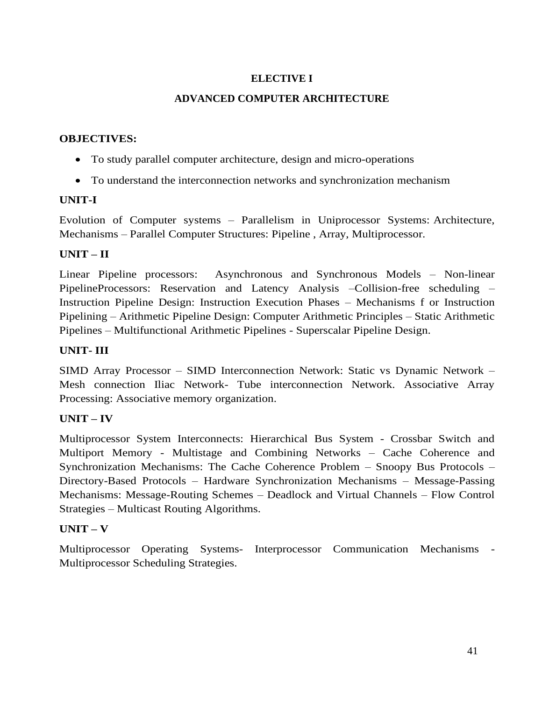## **ELECTIVE I**

### **ADVANCED COMPUTER ARCHITECTURE**

#### **OBJECTIVES:**

- To study parallel computer architecture, design and micro-operations
- To understand the interconnection networks and synchronization mechanism

### **UNIT-I**

Evolution of Computer systems – Parallelism in Uniprocessor Systems: Architecture, Mechanisms – Parallel Computer Structures: Pipeline , Array, Multiprocessor.

### **UNIT – II**

Linear Pipeline processors: Asynchronous and Synchronous Models – Non-linear PipelineProcessors: Reservation and Latency Analysis –Collision-free scheduling – Instruction Pipeline Design: Instruction Execution Phases – Mechanisms f or Instruction Pipelining – Arithmetic Pipeline Design: Computer Arithmetic Principles – Static Arithmetic Pipelines – Multifunctional Arithmetic Pipelines - Superscalar Pipeline Design.

### **UNIT- III**

SIMD Array Processor – SIMD Interconnection Network: Static vs Dynamic Network – Mesh connection Iliac Network- Tube interconnection Network. Associative Array Processing: Associative memory organization.

## **UNIT – IV**

Multiprocessor System Interconnects: Hierarchical Bus System - Crossbar Switch and Multiport Memory - Multistage and Combining Networks – Cache Coherence and Synchronization Mechanisms: The Cache Coherence Problem – Snoopy Bus Protocols – Directory-Based Protocols – Hardware Synchronization Mechanisms – Message-Passing Mechanisms: Message-Routing Schemes – Deadlock and Virtual Channels – Flow Control Strategies – Multicast Routing Algorithms.

### **UNIT – V**

Multiprocessor Operating Systems- Interprocessor Communication Mechanisms - Multiprocessor Scheduling Strategies.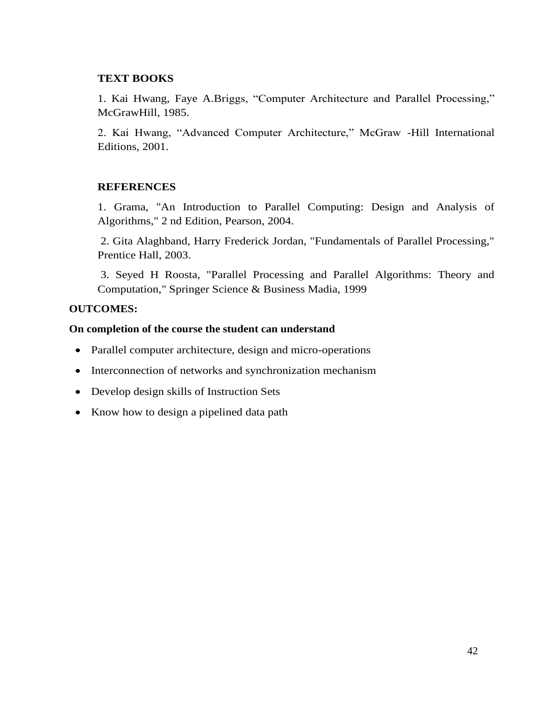#### **TEXT BOOKS**

1. Kai Hwang, Faye A.Briggs, "Computer Architecture and Parallel Processing," McGrawHill, 1985.

2. Kai Hwang, "Advanced Computer Architecture," McGraw -Hill International Editions, 2001.

#### **REFERENCES**

1. Grama, "An Introduction to Parallel Computing: Design and Analysis of Algorithms," 2 nd Edition, Pearson, 2004.

2. Gita Alaghband, Harry Frederick Jordan, "Fundamentals of Parallel Processing," Prentice Hall, 2003.

3. Seyed H Roosta, "Parallel Processing and Parallel Algorithms: Theory and Computation," Springer Science & Business Madia, 1999

#### **OUTCOMES:**

#### **On completion of the course the student can understand**

- Parallel computer architecture, design and micro-operations
- Interconnection of networks and synchronization mechanism
- Develop design skills of Instruction Sets
- Know how to design a pipelined data path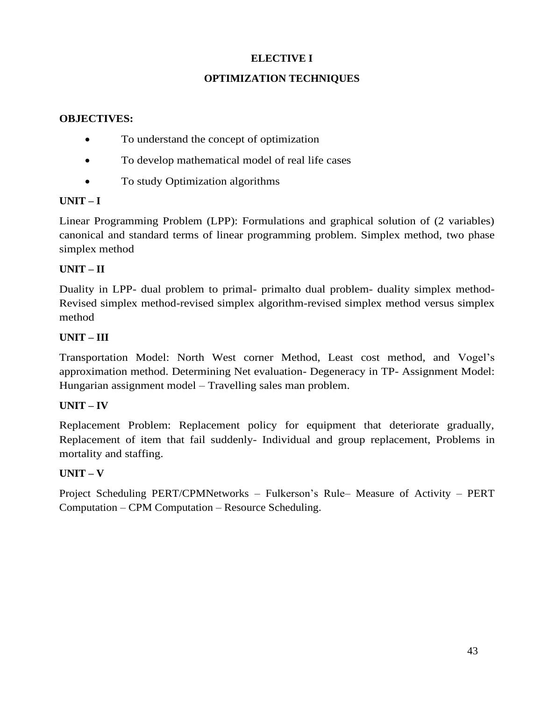## **ELECTIVE I**

## **OPTIMIZATION TECHNIQUES**

### **OBJECTIVES:**

- To understand the concept of optimization
- To develop mathematical model of real life cases
- To study Optimization algorithms

### **UNIT – I**

Linear Programming Problem (LPP): Formulations and graphical solution of (2 variables) canonical and standard terms of linear programming problem. Simplex method, two phase simplex method

## **UNIT – II**

Duality in LPP- dual problem to primal- primalto dual problem- duality simplex method-Revised simplex method-revised simplex algorithm-revised simplex method versus simplex method

# **UNIT – III**

Transportation Model: North West corner Method, Least cost method, and Vogel's approximation method. Determining Net evaluation- Degeneracy in TP- Assignment Model: Hungarian assignment model – Travelling sales man problem.

## **UNIT – IV**

Replacement Problem: Replacement policy for equipment that deteriorate gradually, Replacement of item that fail suddenly- Individual and group replacement, Problems in mortality and staffing.

## **UNIT – V**

Project Scheduling PERT/CPMNetworks – Fulkerson's Rule– Measure of Activity – PERT Computation – CPM Computation – Resource Scheduling.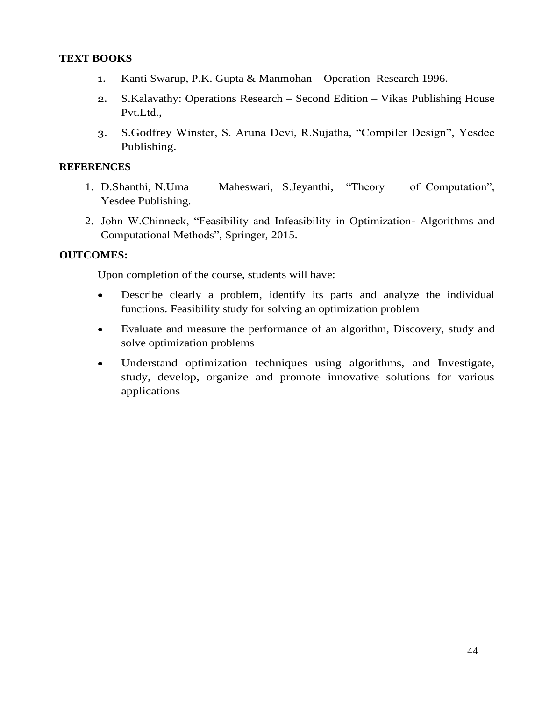### **TEXT BOOKS**

- 1. Kanti Swarup, P.K. Gupta & Manmohan Operation Research 1996.
- 2. S.Kalavathy: Operations Research Second Edition Vikas Publishing House Pvt.Ltd.,
- 3. S.Godfrey Winster, S. Aruna Devi, R.Sujatha, "Compiler Design", Yesdee Publishing.

#### **REFERENCES**

- 1. D.Shanthi, N.Uma Maheswari, S.Jeyanthi, "Theory of Computation", Yesdee Publishing.
- 2. John W.Chinneck, "Feasibility and Infeasibility in Optimization- Algorithms and Computational Methods", Springer, 2015.

#### **OUTCOMES:**

Upon completion of the course, students will have:

- Describe clearly a problem, identify its parts and analyze the individual functions. Feasibility study for solving an optimization problem
- Evaluate and measure the performance of an algorithm, Discovery, study and solve optimization problems
- Understand optimization techniques using algorithms, and Investigate, study, develop, organize and promote innovative solutions for various applications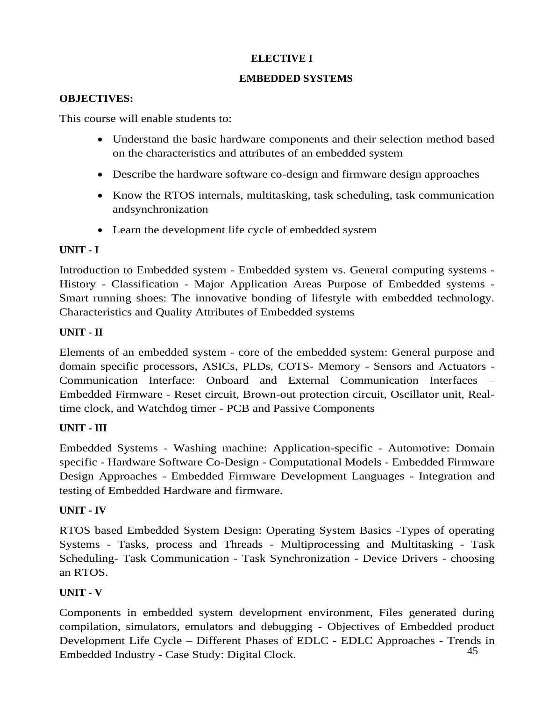## **ELECTIVE I**

### **EMBEDDED SYSTEMS**

### **OBJECTIVES:**

This course will enable students to:

- Understand the basic hardware components and their selection method based on the characteristics and attributes of an embedded system
- Describe the hardware software co-design and firmware design approaches
- Know the RTOS internals, multitasking, task scheduling, task communication andsynchronization
- Learn the development life cycle of embedded system

# **UNIT - I**

Introduction to Embedded system - Embedded system vs. General computing systems - History - Classification - Major Application Areas Purpose of Embedded systems - Smart running shoes: The innovative bonding of lifestyle with embedded technology. Characteristics and Quality Attributes of Embedded systems

# **UNIT - II**

Elements of an embedded system - core of the embedded system: General purpose and domain specific processors, ASICs, PLDs, COTS- Memory - Sensors and Actuators - Communication Interface: Onboard and External Communication Interfaces – Embedded Firmware - Reset circuit, Brown-out protection circuit, Oscillator unit, Realtime clock, and Watchdog timer - PCB and Passive Components

# **UNIT - III**

Embedded Systems - Washing machine: Application-specific - Automotive: Domain specific - Hardware Software Co-Design - Computational Models - Embedded Firmware Design Approaches - Embedded Firmware Development Languages - Integration and testing of Embedded Hardware and firmware.

# **UNIT - IV**

RTOS based Embedded System Design: Operating System Basics -Types of operating Systems - Tasks, process and Threads - Multiprocessing and Multitasking - Task Scheduling- Task Communication - Task Synchronization - Device Drivers - choosing an RTOS.

# **UNIT - V**

45 Components in embedded system development environment, Files generated during compilation, simulators, emulators and debugging - Objectives of Embedded product Development Life Cycle – Different Phases of EDLC - EDLC Approaches - Trends in Embedded Industry - Case Study: Digital Clock.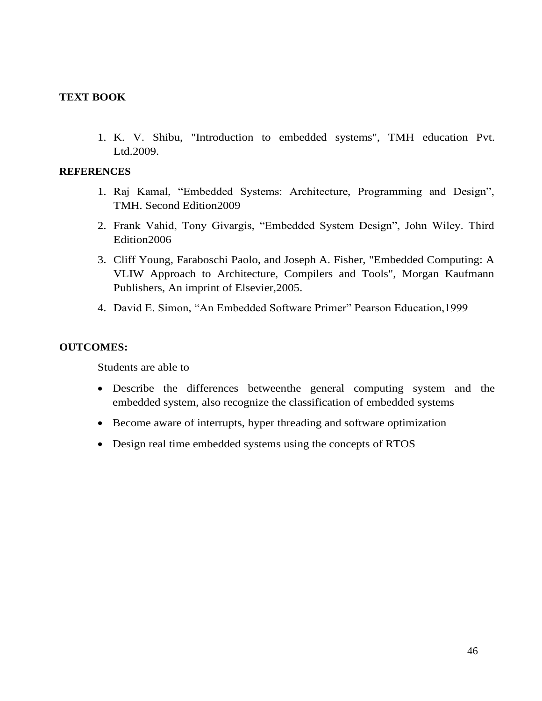#### **TEXT BOOK**

1. K. V. Shibu, "Introduction to embedded systems", TMH education Pvt. Ltd.2009.

#### **REFERENCES**

- 1. Raj Kamal, "Embedded Systems: Architecture, Programming and Design", TMH. Second Edition2009
- 2. Frank Vahid, Tony Givargis, "Embedded System Design", John Wiley. Third Edition2006
- 3. Cliff Young, Faraboschi Paolo, and Joseph A. Fisher, "Embedded Computing: A VLIW Approach to Architecture, Compilers and Tools", Morgan Kaufmann Publishers, An imprint of Elsevier,2005.
- 4. David E. Simon, "An Embedded Software Primer" Pearson Education,1999

#### **OUTCOMES:**

Students are able to

- Describe the differences betweenthe general computing system and the embedded system, also recognize the classification of embedded systems
- Become aware of interrupts, hyper threading and software optimization
- Design real time embedded systems using the concepts of RTOS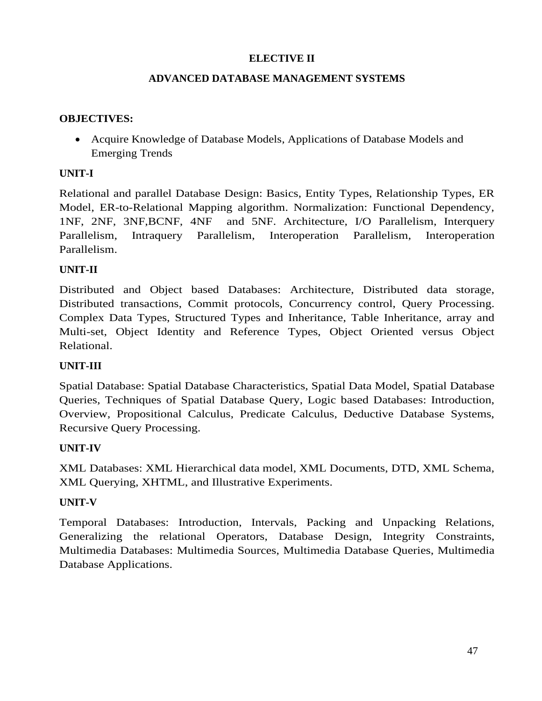### **ELECTIVE II**

### **ADVANCED DATABASE MANAGEMENT SYSTEMS**

### **OBJECTIVES:**

• Acquire Knowledge of Database Models, Applications of Database Models and Emerging Trends

### **UNIT-I**

Relational and parallel Database Design: Basics, Entity Types, Relationship Types, ER Model, ER-to-Relational Mapping algorithm. Normalization: Functional Dependency, 1NF, 2NF, 3NF,BCNF, 4NF and 5NF. Architecture, I/O Parallelism, Interquery Parallelism, Intraquery Parallelism, Interoperation Parallelism, Interoperation Parallelism.

## **UNIT-II**

Distributed and Object based Databases: Architecture, Distributed data storage, Distributed transactions, Commit protocols, Concurrency control, Query Processing. Complex Data Types, Structured Types and Inheritance, Table Inheritance, array and Multi-set, Object Identity and Reference Types, Object Oriented versus Object Relational.

## **UNIT-III**

Spatial Database: Spatial Database Characteristics, Spatial Data Model, Spatial Database Queries, Techniques of Spatial Database Query, Logic based Databases: Introduction, Overview, Propositional Calculus, Predicate Calculus, Deductive Database Systems, Recursive Query Processing.

### **UNIT-IV**

XML Databases: XML Hierarchical data model, XML Documents, DTD, XML Schema, XML Querying, XHTML, and Illustrative Experiments.

### **UNIT-V**

Temporal Databases: Introduction, Intervals, Packing and Unpacking Relations, Generalizing the relational Operators, Database Design, Integrity Constraints, Multimedia Databases: Multimedia Sources, Multimedia Database Queries, Multimedia Database Applications.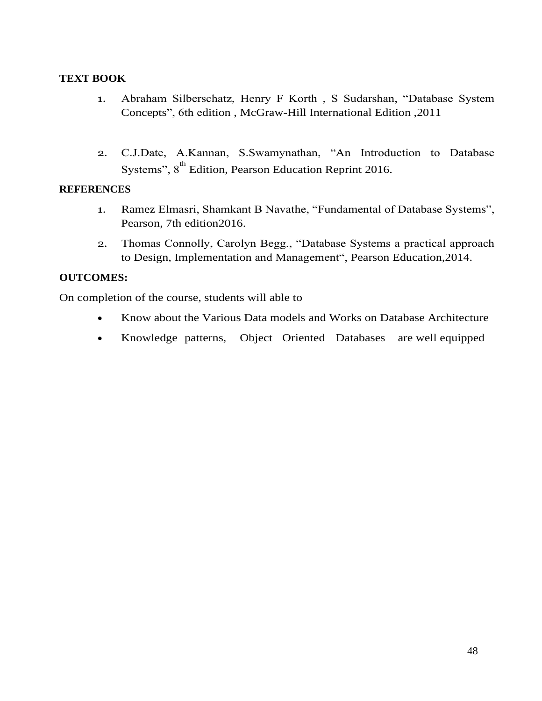### **TEXT BOOK**

- 1. Abraham Silberschatz, Henry F Korth , S Sudarshan, "Database System Concepts", 6th edition , McGraw-Hill International Edition ,2011
- 2. C.J.Date, A.Kannan, S.Swamynathan, "An Introduction to Database Systems", 8<sup>th</sup> Edition, Pearson Education Reprint 2016.

#### **REFERENCES**

- 1. Ramez Elmasri, Shamkant B Navathe, "Fundamental of Database Systems", Pearson, 7th edition2016.
- 2. Thomas Connolly, Carolyn Begg., "Database Systems a practical approach to Design, Implementation and Management", Pearson Education,2014.

### **OUTCOMES:**

On completion of the course, students will able to

- Know about the Various Data models and Works on Database Architecture
- Knowledge patterns, Object Oriented Databases are well equipped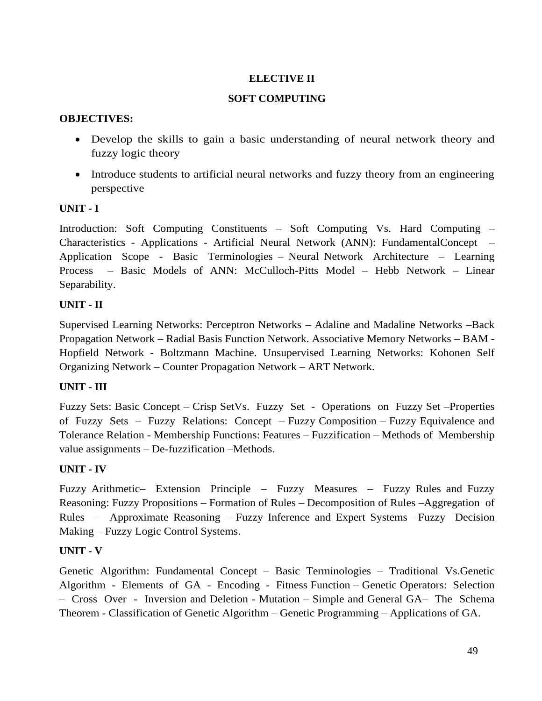### **ELECTIVE II**

### **SOFT COMPUTING**

### **OBJECTIVES:**

- Develop the skills to gain a basic understanding of neural network theory and fuzzy logic theory
- Introduce students to artificial neural networks and fuzzy theory from an engineering perspective

### **UNIT - I**

Introduction: Soft Computing Constituents – Soft Computing Vs. Hard Computing – Characteristics - Applications - Artificial Neural Network (ANN): FundamentalConcept – Application Scope - Basic Terminologies – Neural Network Architecture – Learning Process – Basic Models of ANN: McCulloch-Pitts Model – Hebb Network – Linear Separability.

## **UNIT - II**

Supervised Learning Networks: Perceptron Networks – Adaline and Madaline Networks –Back Propagation Network – Radial Basis Function Network. Associative Memory Networks – BAM - Hopfield Network - Boltzmann Machine. Unsupervised Learning Networks: Kohonen Self Organizing Network – Counter Propagation Network – ART Network.

## **UNIT - III**

Fuzzy Sets: Basic Concept – Crisp SetVs. Fuzzy Set - Operations on Fuzzy Set –Properties of Fuzzy Sets – Fuzzy Relations: Concept – Fuzzy Composition – Fuzzy Equivalence and Tolerance Relation - Membership Functions: Features – Fuzzification – Methods of Membership value assignments – De-fuzzification –Methods.

## **UNIT - IV**

Fuzzy Arithmetic– Extension Principle – Fuzzy Measures – Fuzzy Rules and Fuzzy Reasoning: Fuzzy Propositions – Formation of Rules – Decomposition of Rules –Aggregation of Rules – Approximate Reasoning – Fuzzy Inference and Expert Systems –Fuzzy Decision Making – Fuzzy Logic Control Systems.

## **UNIT - V**

Genetic Algorithm: Fundamental Concept – Basic Terminologies – Traditional Vs.Genetic Algorithm - Elements of GA - Encoding - Fitness Function – Genetic Operators: Selection – Cross Over - Inversion and Deletion - Mutation – Simple and General GA– The Schema Theorem - Classification of Genetic Algorithm – Genetic Programming – Applications of GA.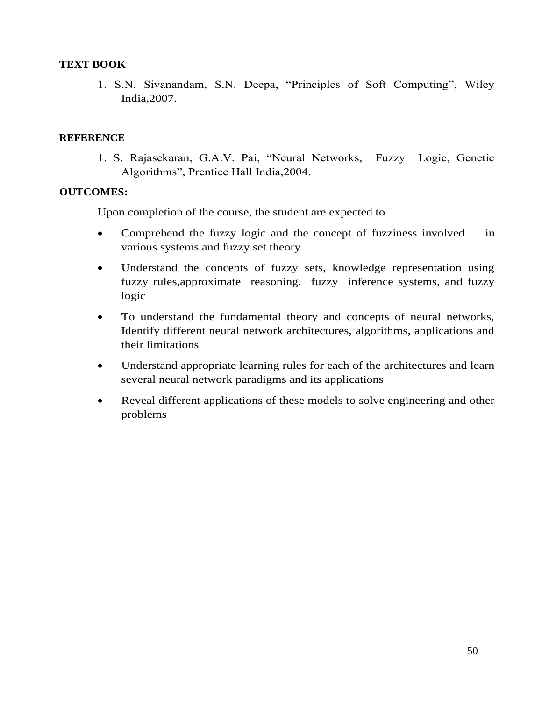#### **TEXT BOOK**

1. S.N. Sivanandam, S.N. Deepa, "Principles of Soft Computing", Wiley India,2007.

#### **REFERENCE**

1. S. Rajasekaran, G.A.V. Pai, "Neural Networks, Fuzzy Logic, Genetic Algorithms", Prentice Hall India,2004.

### **OUTCOMES:**

Upon completion of the course, the student are expected to

- Comprehend the fuzzy logic and the concept of fuzziness involved in various systems and fuzzy set theory
- Understand the concepts of fuzzy sets, knowledge representation using fuzzy rules,approximate reasoning, fuzzy inference systems, and fuzzy logic
- To understand the fundamental theory and concepts of neural networks, Identify different neural network architectures, algorithms, applications and their limitations
- Understand appropriate learning rules for each of the architectures and learn several neural network paradigms and its applications
- Reveal different applications of these models to solve engineering and other problems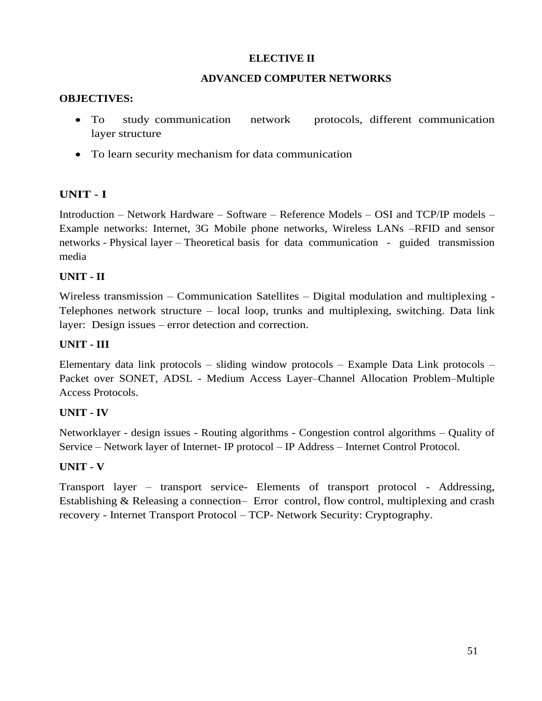### **ELECTIVE II**

#### **ADVANCED COMPUTER NETWORKS**

#### **OBJECTIVES:**

- To study communication network protocols, different communication layer structure
- To learn security mechanism for data communication

### **UNIT - I**

Introduction – Network Hardware – Software – Reference Models – OSI and TCP/IP models – Example networks: Internet, 3G Mobile phone networks, Wireless LANs –RFID and sensor networks - Physical layer – Theoretical basis for data communication - guided transmission media

### **UNIT - II**

Wireless transmission – Communication Satellites – Digital modulation and multiplexing - Telephones network structure – local loop, trunks and multiplexing, switching. Data link layer: Design issues – error detection and correction.

### **UNIT - III**

Elementary data link protocols – sliding window protocols – Example Data Link protocols – Packet over SONET, ADSL - Medium Access Layer–Channel Allocation Problem–Multiple Access Protocols.

### **UNIT - IV**

Networklayer - design issues - Routing algorithms - Congestion control algorithms – Quality of Service – Network layer of Internet- IP protocol – IP Address – Internet Control Protocol.

### **UNIT - V**

Transport layer – transport service- Elements of transport protocol - Addressing, Establishing & Releasing a connection– Error control, flow control, multiplexing and crash recovery - Internet Transport Protocol – TCP- Network Security: Cryptography.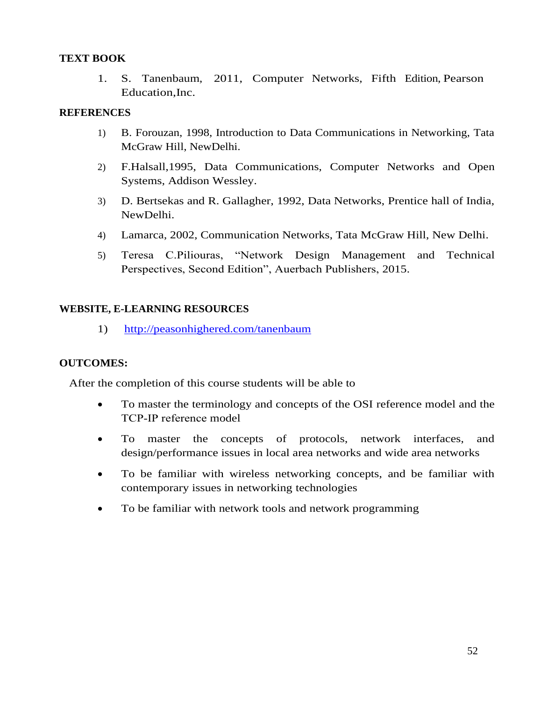### **TEXT BOOK**

1. S. Tanenbaum, 2011, Computer Networks, Fifth Edition, Pearson Education,Inc.

### **REFERENCES**

- 1) B. Forouzan, 1998, Introduction to Data Communications in Networking, Tata McGraw Hill, NewDelhi.
- 2) F.Halsall,1995, Data Communications, Computer Networks and Open Systems, Addison Wessley.
- 3) D. Bertsekas and R. Gallagher, 1992, Data Networks, Prentice hall of India, NewDelhi.
- 4) Lamarca, 2002, Communication Networks, Tata McGraw Hill, New Delhi.
- 5) Teresa C.Piliouras, "Network Design Management and Technical Perspectives, Second Edition", Auerbach Publishers, 2015.

## **WEBSITE, E-LEARNING RESOURCES**

1) <http://peasonhighered.com/tanenbaum>

## **OUTCOMES:**

After the completion of this course students will be able to

- To master the terminology and concepts of the OSI reference model and the TCP‐IP reference model
- To master the concepts of protocols, network interfaces, and design/performance issues in local area networks and wide area networks
- To be familiar with wireless networking concepts, and be familiar with contemporary issues in networking technologies
- To be familiar with network tools and network programming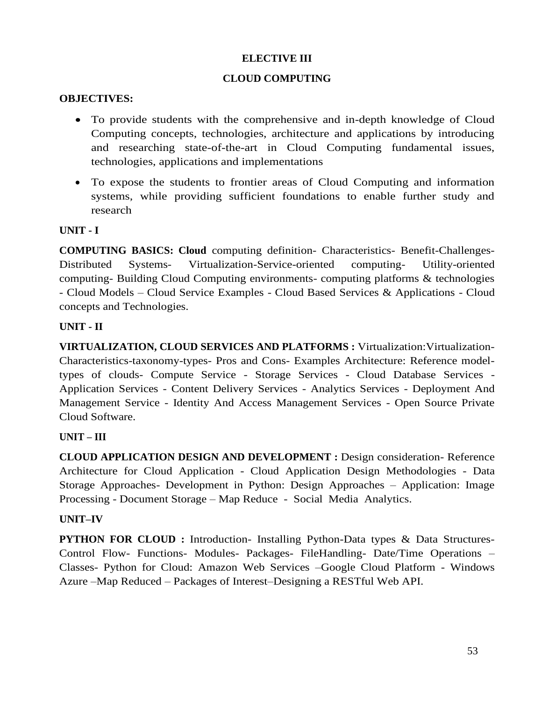### **ELECTIVE III**

### **CLOUD COMPUTING**

#### **OBJECTIVES:**

- To provide students with the comprehensive and in-depth knowledge of Cloud Computing concepts, technologies, architecture and applications by introducing and researching state-of-the-art in Cloud Computing fundamental issues, technologies, applications and implementations
- To expose the students to frontier areas of Cloud Computing and information systems, while providing sufficient foundations to enable further study and research

### **UNIT - I**

**COMPUTING BASICS: Cloud** computing definition- Characteristics- Benefit-Challenges-Distributed Systems- Virtualization-Service-oriented computing- Utility-oriented computing- Building Cloud Computing environments- computing platforms & technologies - Cloud Models – Cloud Service Examples - Cloud Based Services & Applications - Cloud concepts and Technologies.

### **UNIT - II**

**VIRTUALIZATION, CLOUD SERVICES AND PLATFORMS :** Virtualization:Virtualization-Characteristics-taxonomy-types- Pros and Cons- Examples Architecture: Reference modeltypes of clouds- Compute Service - Storage Services - Cloud Database Services - Application Services - Content Delivery Services - Analytics Services - Deployment And Management Service - Identity And Access Management Services - Open Source Private Cloud Software.

### **UNIT – III**

**CLOUD APPLICATION DESIGN AND DEVELOPMENT :** Design consideration- Reference Architecture for Cloud Application - Cloud Application Design Methodologies - Data Storage Approaches- Development in Python: Design Approaches – Application: Image Processing - Document Storage – Map Reduce - Social Media Analytics.

### **UNIT–IV**

**PYTHON FOR CLOUD :** Introduction- Installing Python-Data types & Data Structures-Control Flow- Functions- Modules- Packages- FileHandling- Date/Time Operations – Classes- Python for Cloud: Amazon Web Services –Google Cloud Platform - Windows Azure –Map Reduced – Packages of Interest–Designing a RESTful Web API.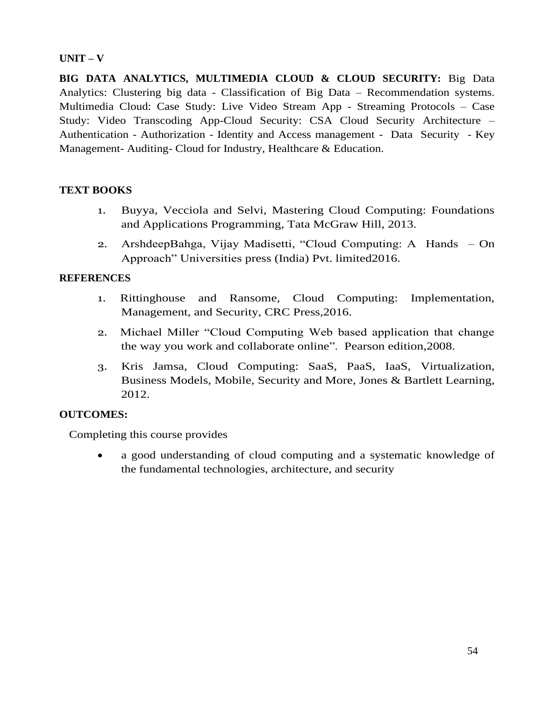### **UNIT – V**

**BIG DATA ANALYTICS, MULTIMEDIA CLOUD & CLOUD SECURITY:** Big Data Analytics: Clustering big data - Classification of Big Data – Recommendation systems. Multimedia Cloud: Case Study: Live Video Stream App - Streaming Protocols – Case Study: Video Transcoding App-Cloud Security: CSA Cloud Security Architecture – Authentication - Authorization - Identity and Access management - Data Security - Key Management- Auditing- Cloud for Industry, Healthcare & Education.

### **TEXT BOOKS**

- 1. Buyya, Vecciola and Selvi, Mastering Cloud Computing: Foundations and Applications Programming, Tata McGraw Hill, 2013.
- 2. ArshdeepBahga, Vijay Madisetti, "Cloud Computing: A Hands On Approach" Universities press (India) Pvt. limited2016.

### **REFERENCES**

- 1. Rittinghouse and Ransome, Cloud Computing: Implementation, Management, and Security, CRC Press,2016.
- 2. Michael Miller "Cloud Computing Web based application that change the way you work and collaborate online". Pearson edition,2008.
- 3. Kris Jamsa, Cloud Computing: SaaS, PaaS, IaaS, Virtualization, Business Models, Mobile, Security and More, Jones & Bartlett Learning, 2012.

### **OUTCOMES:**

Completing this course provides

• a good understanding of cloud computing and a systematic knowledge of the fundamental technologies, architecture, and security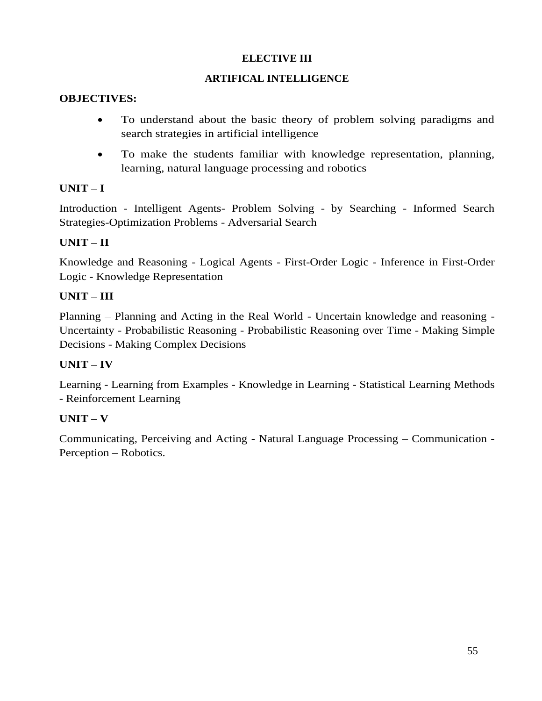## **ELECTIVE III**

## **ARTIFICAL INTELLIGENCE**

### **OBJECTIVES:**

- To understand about the basic theory of problem solving paradigms and search strategies in artificial intelligence
- To make the students familiar with knowledge representation, planning, learning, natural language processing and robotics

# **UNIT – I**

Introduction - Intelligent Agents- Problem Solving - by Searching - Informed Search Strategies-Optimization Problems - Adversarial Search

# **UNIT – II**

Knowledge and Reasoning - Logical Agents - First-Order Logic - Inference in First-Order Logic - Knowledge Representation

# **UNIT – III**

Planning – Planning and Acting in the Real World - Uncertain knowledge and reasoning - Uncertainty - Probabilistic Reasoning - Probabilistic Reasoning over Time - Making Simple Decisions - Making Complex Decisions

## **UNIT – IV**

Learning - Learning from Examples - Knowledge in Learning - Statistical Learning Methods - Reinforcement Learning

# **UNIT – V**

Communicating, Perceiving and Acting - Natural Language Processing – Communication - Perception – Robotics.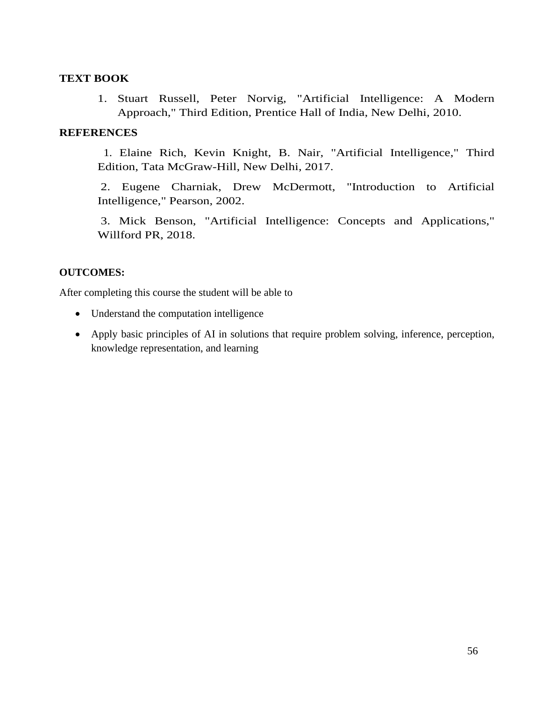### **TEXT BOOK**

1. Stuart Russell, Peter Norvig, "Artificial Intelligence: A Modern Approach," Third Edition, Prentice Hall of India, New Delhi, 2010.

### **REFERENCES**

 1. Elaine Rich, Kevin Knight, B. Nair, "Artificial Intelligence," Third Edition, Tata McGraw-Hill, New Delhi, 2017.

2. Eugene Charniak, Drew McDermott, "Introduction to Artificial Intelligence," Pearson, 2002.

3. Mick Benson, "Artificial Intelligence: Concepts and Applications," Willford PR, 2018.

### **OUTCOMES:**

After completing this course the student will be able to

- Understand the computation intelligence
- Apply basic principles of AI in solutions that require problem solving, inference, perception, knowledge representation, and learning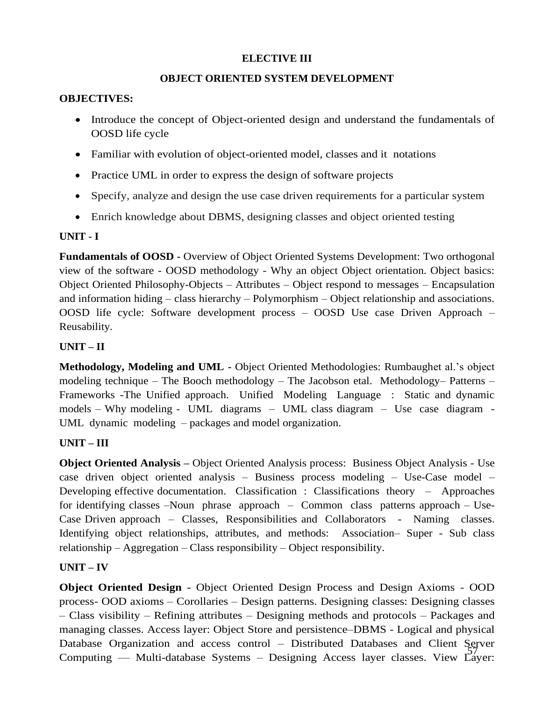### **ELECTIVE III**

### **OBJECT ORIENTED SYSTEM DEVELOPMENT**

### **OBJECTIVES:**

- Introduce the concept of Object-oriented design and understand the fundamentals of OOSD life cycle
- Familiar with evolution of object-oriented model, classes and it notations
- Practice UML in order to express the design of software projects
- Specify, analyze and design the use case driven requirements for a particular system
- Enrich knowledge about DBMS, designing classes and object oriented testing

### **UNIT - I**

**Fundamentals of OOSD -** Overview of Object Oriented Systems Development: Two orthogonal view of the software - OOSD methodology - Why an object Object orientation. Object basics: Object Oriented Philosophy-Objects – Attributes – Object respond to messages – Encapsulation and information hiding – class hierarchy – Polymorphism – Object relationship and associations. OOSD life cycle: Software development process – OOSD Use case Driven Approach – Reusability.

# **UNIT – II**

**Methodology, Modeling and UML -** Object Oriented Methodologies: Rumbaughet al.'s object modeling technique – The Booch methodology – The Jacobson etal. Methodology– Patterns – Frameworks -The Unified approach. Unified Modeling Language : Static and dynamic models – Why modeling - UML diagrams – UML class diagram – Use case diagram - UML dynamic modeling – packages and model organization.

## **UNIT – III**

**Object Oriented Analysis –** Object Oriented Analysis process: Business Object Analysis - Use case driven object oriented analysis – Business process modeling – Use-Case model – Developing effective documentation. Classification : Classifications theory – Approaches for identifying classes –Noun phrase approach – Common class patterns approach – Use-Case Driven approach – Classes, Responsibilities and Collaborators - Naming classes. Identifying object relationships, attributes, and methods: Association– Super - Sub class relationship – Aggregation – Class responsibility – Object responsibility.

## **UNIT – IV**

57 Computing –– Multi-database Systems – Designing Access layer classes. View Layer: **Object Oriented Design -** Object Oriented Design Process and Design Axioms - OOD process- OOD axioms – Corollaries – Design patterns. Designing classes: Designing classes – Class visibility – Refining attributes – Designing methods and protocols – Packages and managing classes. Access layer: Object Store and persistence–DBMS - Logical and physical Database Organization and access control – Distributed Databases and Client Server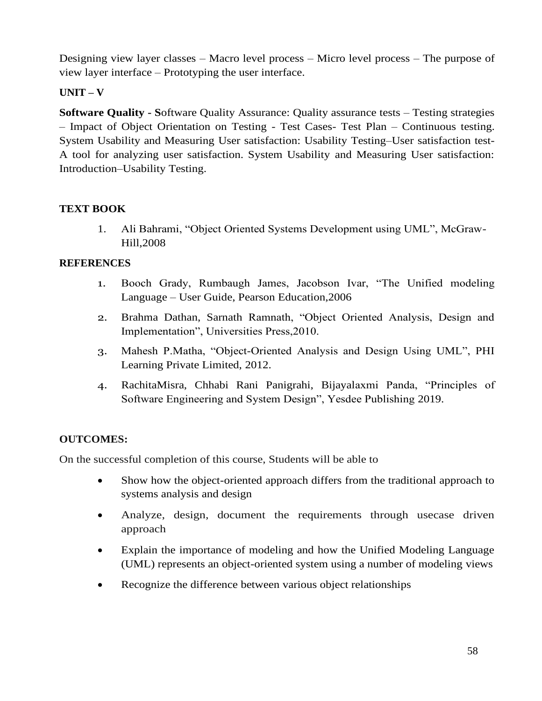Designing view layer classes – Macro level process – Micro level process – The purpose of view layer interface – Prototyping the user interface.

# **UNIT – V**

**Software Quality - S**oftware Quality Assurance: Quality assurance tests – Testing strategies – Impact of Object Orientation on Testing - Test Cases- Test Plan – Continuous testing. System Usability and Measuring User satisfaction: Usability Testing–User satisfaction test-A tool for analyzing user satisfaction. System Usability and Measuring User satisfaction: Introduction–Usability Testing.

## **TEXT BOOK**

1. Ali Bahrami, "Object Oriented Systems Development using UML", McGraw-Hill,2008

### **REFERENCES**

- 1. Booch Grady, Rumbaugh James, Jacobson Ivar, "The Unified modeling Language – User Guide, Pearson Education,2006
- 2. Brahma Dathan, Sarnath Ramnath, "Object Oriented Analysis, Design and Implementation", Universities Press,2010.
- 3. Mahesh P.Matha, "Object-Oriented Analysis and Design Using UML", PHI Learning Private Limited, 2012.
- 4. RachitaMisra, Chhabi Rani Panigrahi, Bijayalaxmi Panda, "Principles of Software Engineering and System Design", Yesdee Publishing 2019.

## **OUTCOMES:**

On the successful completion of this course, Students will be able to

- Show how the object-oriented approach differs from the traditional approach to systems analysis and design
- Analyze, design, document the requirements through usecase driven approach
- Explain the importance of modeling and how the Unified Modeling Language (UML) represents an object-oriented system using a number of modeling views
- Recognize the difference between various object relationships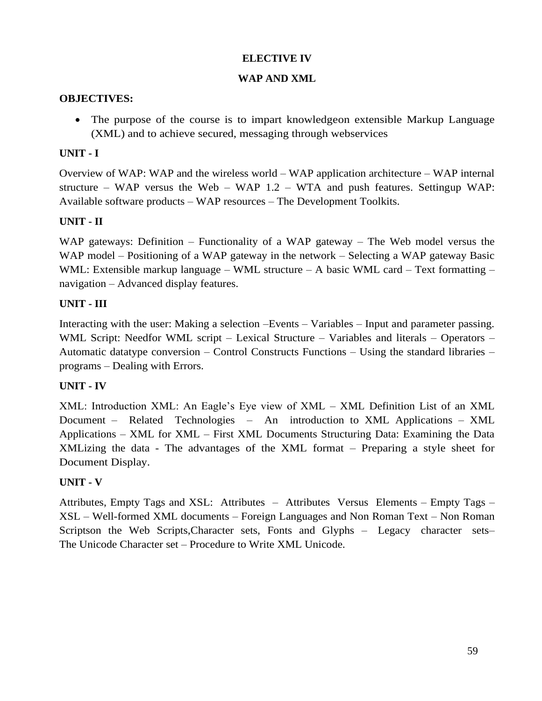### **ELECTIVE IV**

#### **WAP AND XML**

#### **OBJECTIVES:**

• The purpose of the course is to impart knowledgeon extensible Markup Language (XML) and to achieve secured, messaging through webservices

### **UNIT - I**

Overview of WAP: WAP and the wireless world – WAP application architecture – WAP internal structure – WAP versus the Web – WAP  $1.2$  – WTA and push features. Settingup WAP: Available software products – WAP resources – The Development Toolkits.

### **UNIT - II**

WAP gateways: Definition – Functionality of a WAP gateway – The Web model versus the WAP model – Positioning of a WAP gateway in the network – Selecting a WAP gateway Basic WML: Extensible markup language – WML structure – A basic WML card – Text formatting – navigation – Advanced display features.

### **UNIT - III**

Interacting with the user: Making a selection –Events – Variables – Input and parameter passing. WML Script: Needfor WML script – Lexical Structure – Variables and literals – Operators – Automatic datatype conversion – Control Constructs Functions – Using the standard libraries – programs – Dealing with Errors.

### **UNIT - IV**

XML: Introduction XML: An Eagle's Eye view of XML – XML Definition List of an XML Document – Related Technologies – An introduction to XML Applications – XML Applications – XML for XML – First XML Documents Structuring Data: Examining the Data XMLizing the data - The advantages of the XML format – Preparing a style sheet for Document Display.

### **UNIT - V**

Attributes, Empty Tags and XSL: Attributes – Attributes Versus Elements – Empty Tags – XSL – Well-formed XML documents – Foreign Languages and Non Roman Text – Non Roman Scriptson the Web Scripts,Character sets, Fonts and Glyphs – Legacy character sets– The Unicode Character set – Procedure to Write XML Unicode.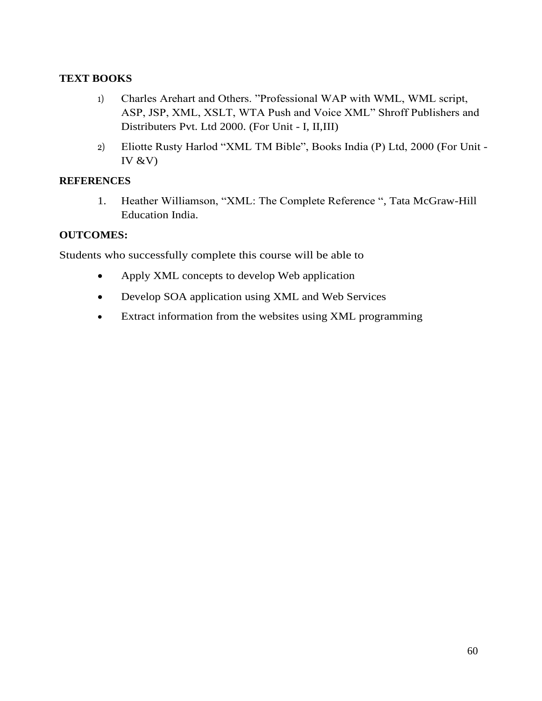### **TEXT BOOKS**

- 1) Charles Arehart and Others. "Professional WAP with WML, WML script, ASP, JSP, XML, XSLT, WTA Push and Voice XML" Shroff Publishers and Distributers Pvt. Ltd 2000. (For Unit - I, II,III)
- 2) Eliotte Rusty Harlod "XML TM Bible", Books India (P) Ltd, 2000 (For Unit IV  $&V$ )

### **REFERENCES**

1. Heather Williamson, "XML: The Complete Reference ", Tata McGraw-Hill Education India.

## **OUTCOMES:**

Students who successfully complete this course will be able to

- Apply XML concepts to develop Web application
- Develop SOA application using XML and Web Services
- Extract information from the websites using XML programming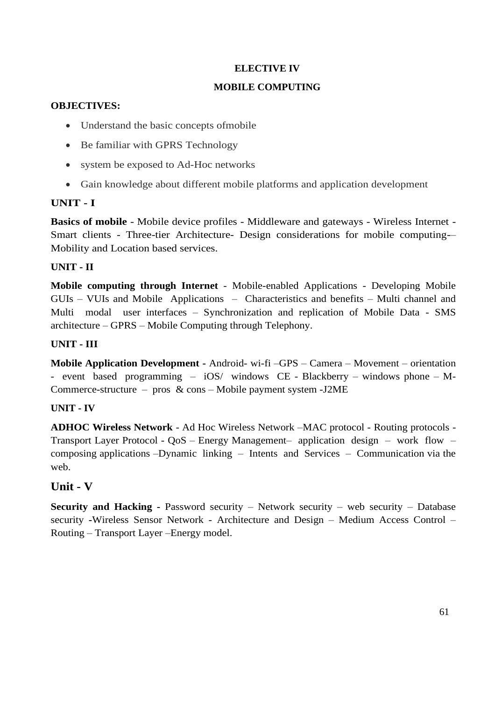## **ELECTIVE IV**

### **MOBILE COMPUTING**

### **OBJECTIVES:**

- Understand the basic concepts of mobile
- Be familiar with GPRS Technology
- system be exposed to Ad-Hoc networks
- Gain knowledge about different mobile platforms and application development

# **UNIT - I**

**Basics of mobile** - Mobile device profiles - Middleware and gateways - Wireless Internet - Smart clients - Three-tier Architecture- Design considerations for mobile computing-– Mobility and Location based services.

## **UNIT - II**

**Mobile computing through Internet** - Mobile-enabled Applications - Developing Mobile GUIs – VUIs and Mobile Applications – Characteristics and benefits – Multi channel and Multi modal user interfaces – Synchronization and replication of Mobile Data - SMS architecture – GPRS – Mobile Computing through Telephony.

## **UNIT - III**

**Mobile Application Development -** Android- wi-fi –GPS – Camera – Movement – orientation - event based programming – iOS/ windows CE - Blackberry – windows phone – M-Commerce-structure – pros & cons – Mobile payment system -J2ME

## **UNIT - IV**

**ADHOC Wireless Network** - Ad Hoc Wireless Network –MAC protocol - Routing protocols - Transport Layer Protocol - QoS – Energy Management– application design – work flow – composing applications –Dynamic linking – Intents and Services – Communication via the web.

# **Unit - V**

**Security and Hacking -** Password security – Network security – web security – Database security **-**Wireless Sensor Network - Architecture and Design – Medium Access Control – Routing – Transport Layer –Energy model.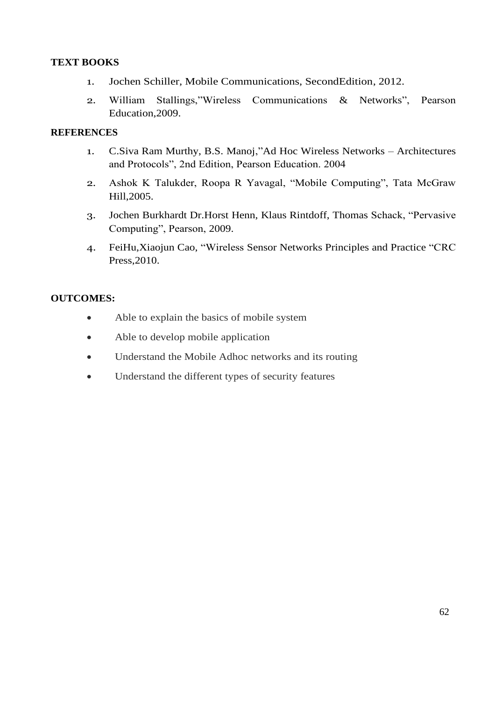### **TEXT BOOKS**

- 1. Jochen Schiller, Mobile Communications, SecondEdition, 2012.
- 2. William Stallings,"Wireless Communications & Networks", Pearson Education,2009.

### **REFERENCES**

- 1. C.Siva Ram Murthy, B.S. Manoj,"Ad Hoc Wireless Networks Architectures and Protocols", 2nd Edition, Pearson Education. 2004
- 2. Ashok K Talukder, Roopa R Yavagal, "Mobile Computing", Tata McGraw Hill,2005.
- 3. Jochen Burkhardt Dr.Horst Henn, Klaus Rintdoff, Thomas Schack, "Pervasive Computing", Pearson, 2009.
- 4. FeiHu,Xiaojun Cao, "Wireless Sensor Networks Principles and Practice "CRC Press,2010.

### **OUTCOMES:**

- Able to explain the basics of mobile system
- Able to develop mobile application
- Understand the Mobile Adhoc networks and its routing
- Understand the different types of security features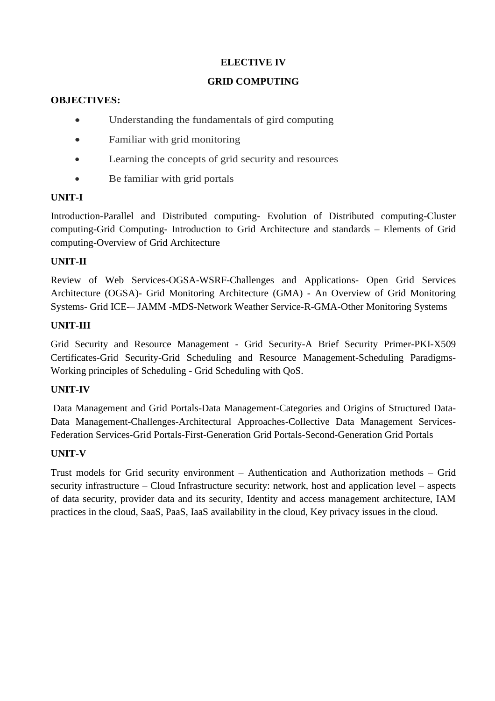# **ELECTIVE IV**

### **GRID COMPUTING**

### **OBJECTIVES:**

- Understanding the fundamentals of gird computing
- Familiar with grid monitoring
- Learning the concepts of grid security and resources
- Be familiar with grid portals

## **UNIT-I**

Introduction-Parallel and Distributed computing- Evolution of Distributed computing-Cluster computing-Grid Computing- Introduction to Grid Architecture and standards – Elements of Grid computing-Overview of Grid Architecture

## **UNIT-II**

Review of Web Services-OGSA-WSRF-Challenges and Applications- Open Grid Services Architecture (OGSA)- Grid Monitoring Architecture (GMA) - An Overview of Grid Monitoring Systems- Grid ICE-– JAMM -MDS-Network Weather Service-R-GMA-Other Monitoring Systems

## **UNIT-III**

Grid Security and Resource Management - Grid Security-A Brief Security Primer-PKI-X509 Certificates-Grid Security-Grid Scheduling and Resource Management-Scheduling Paradigms-Working principles of Scheduling - Grid Scheduling with QoS.

## **UNIT-IV**

Data Management and Grid Portals-Data Management-Categories and Origins of Structured Data-Data Management-Challenges-Architectural Approaches-Collective Data Management Services-Federation Services-Grid Portals-First-Generation Grid Portals-Second-Generation Grid Portals

## **UNIT-V**

Trust models for Grid security environment – Authentication and Authorization methods – Grid security infrastructure – Cloud Infrastructure security: network, host and application level – aspects of data security, provider data and its security, Identity and access management architecture, IAM practices in the cloud, SaaS, PaaS, IaaS availability in the cloud, Key privacy issues in the cloud.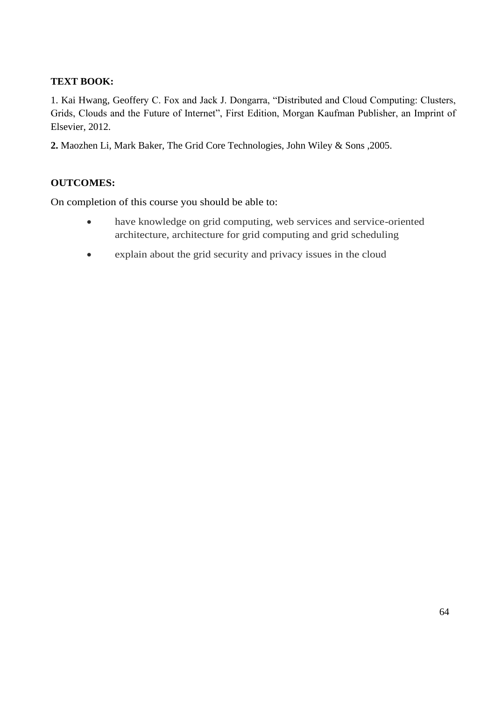## **TEXT BOOK:**

1. Kai Hwang, Geoffery C. Fox and Jack J. Dongarra, "Distributed and Cloud Computing: Clusters, Grids, Clouds and the Future of Internet", First Edition, Morgan Kaufman Publisher, an Imprint of Elsevier, 2012.

**2.** Maozhen Li, Mark Baker, The Grid Core Technologies, John Wiley & Sons ,2005.

### **OUTCOMES:**

On completion of this course you should be able to:

- have knowledge on grid computing, web services and service-oriented architecture, architecture for grid computing and grid scheduling
- explain about the grid security and privacy issues in the cloud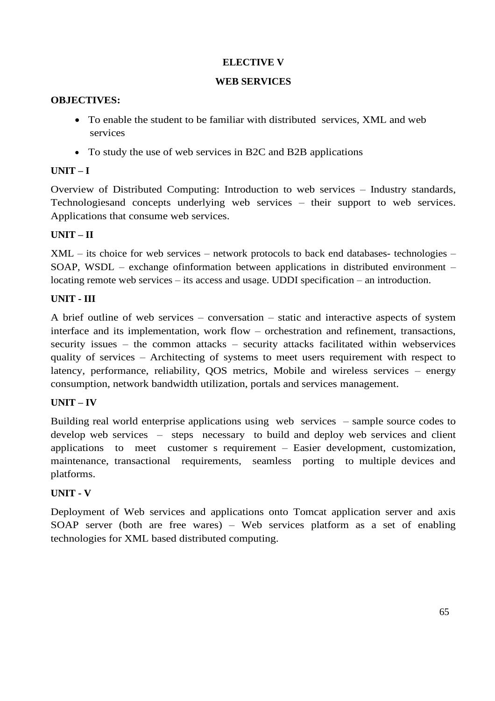### **ELECTIVE V**

### **WEB SERVICES**

### **OBJECTIVES:**

- To enable the student to be familiar with distributed services, XML and web services
- To study the use of web services in B2C and B2B applications

### **UNIT – I**

Overview of Distributed Computing: Introduction to web services – Industry standards, Technologiesand concepts underlying web services – their support to web services. Applications that consume web services.

### **UNIT – II**

XML – its choice for web services – network protocols to back end databases- technologies – SOAP, WSDL – exchange ofinformation between applications in distributed environment – locating remote web services – its access and usage. UDDI specification – an introduction.

### **UNIT - III**

A brief outline of web services – conversation – static and interactive aspects of system interface and its implementation, work flow – orchestration and refinement, transactions, security issues – the common attacks – security attacks facilitated within webservices quality of services – Architecting of systems to meet users requirement with respect to latency, performance, reliability, QOS metrics, Mobile and wireless services – energy consumption, network bandwidth utilization, portals and services management.

### **UNIT – IV**

Building real world enterprise applications using web services – sample source codes to develop web services – steps necessary to build and deploy web services and client applications to meet customer s requirement – Easier development, customization, maintenance, transactional requirements, seamless porting to multiple devices and platforms.

### **UNIT - V**

Deployment of Web services and applications onto Tomcat application server and axis SOAP server (both are free wares) – Web services platform as a set of enabling technologies for XML based distributed computing.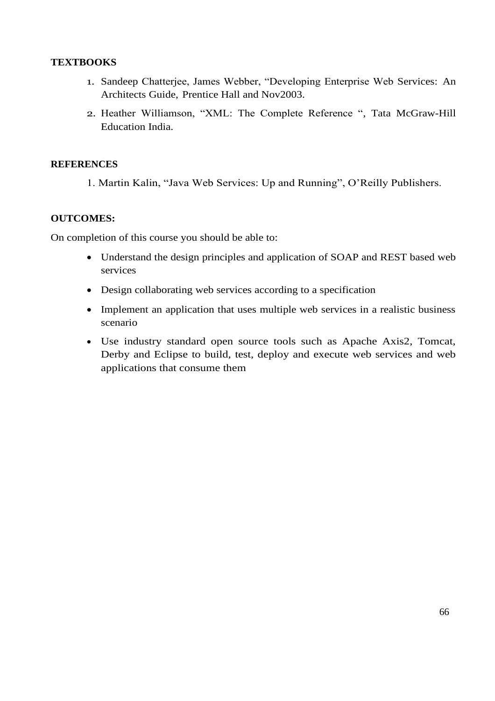### **TEXTBOOKS**

- 1. Sandeep Chatterjee, James Webber, "Developing Enterprise Web Services: An Architects Guide, Prentice Hall and Nov2003.
- 2. Heather Williamson, "XML: The Complete Reference ", Tata McGraw-Hill Education India.

### **REFERENCES**

1. Martin Kalin, "Java Web Services: Up and Running", O'Reilly Publishers.

#### **OUTCOMES:**

On completion of this course you should be able to:

- Understand the design principles and application of SOAP and REST based web services
- Design collaborating web services according to a specification
- Implement an application that uses multiple web services in a realistic business scenario
- Use industry standard open source tools such as Apache Axis2, Tomcat, Derby and Eclipse to build, test, deploy and execute web services and web applications that consume them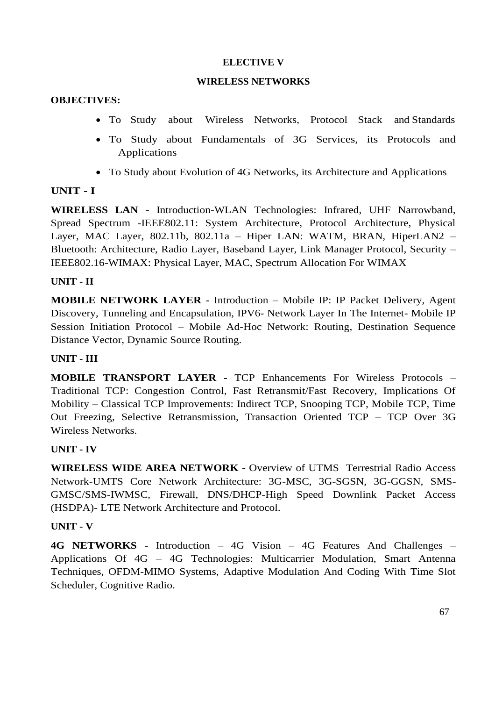#### **ELECTIVE V**

#### **WIRELESS NETWORKS**

#### **OBJECTIVES:**

- To Study about Wireless Networks, Protocol Stack and Standards
- To Study about Fundamentals of 3G Services, its Protocols and Applications
- To Study about Evolution of 4G Networks, its Architecture and Applications

### **UNIT - I**

**WIRELESS LAN -** Introduction-WLAN Technologies: Infrared, UHF Narrowband, Spread Spectrum -IEEE802.11: System Architecture, Protocol Architecture, Physical Layer, MAC Layer, 802.11b, 802.11a – Hiper LAN: WATM, BRAN, HiperLAN2 – Bluetooth: Architecture, Radio Layer, Baseband Layer, Link Manager Protocol, Security – IEEE802.16-WIMAX: Physical Layer, MAC, Spectrum Allocation For WIMAX

### **UNIT - II**

**MOBILE NETWORK LAYER -** Introduction – Mobile IP: IP Packet Delivery, Agent Discovery, Tunneling and Encapsulation, IPV6- Network Layer In The Internet- Mobile IP Session Initiation Protocol – Mobile Ad-Hoc Network: Routing, Destination Sequence Distance Vector, Dynamic Source Routing.

### **UNIT - III**

**MOBILE TRANSPORT LAYER -** TCP Enhancements For Wireless Protocols – Traditional TCP: Congestion Control, Fast Retransmit/Fast Recovery, Implications Of Mobility – Classical TCP Improvements: Indirect TCP, Snooping TCP, Mobile TCP, Time Out Freezing, Selective Retransmission, Transaction Oriented TCP – TCP Over 3G Wireless Networks.

### **UNIT - IV**

**WIRELESS WIDE AREA NETWORK -** Overview of UTMS Terrestrial Radio Access Network-UMTS Core Network Architecture: 3G-MSC, 3G-SGSN, 3G-GGSN, SMS-GMSC/SMS-IWMSC, Firewall, DNS/DHCP-High Speed Downlink Packet Access (HSDPA)- LTE Network Architecture and Protocol.

### **UNIT - V**

**4G NETWORKS -** Introduction – 4G Vision – 4G Features And Challenges – Applications Of 4G – 4G Technologies: Multicarrier Modulation, Smart Antenna Techniques, OFDM-MIMO Systems, Adaptive Modulation And Coding With Time Slot Scheduler, Cognitive Radio.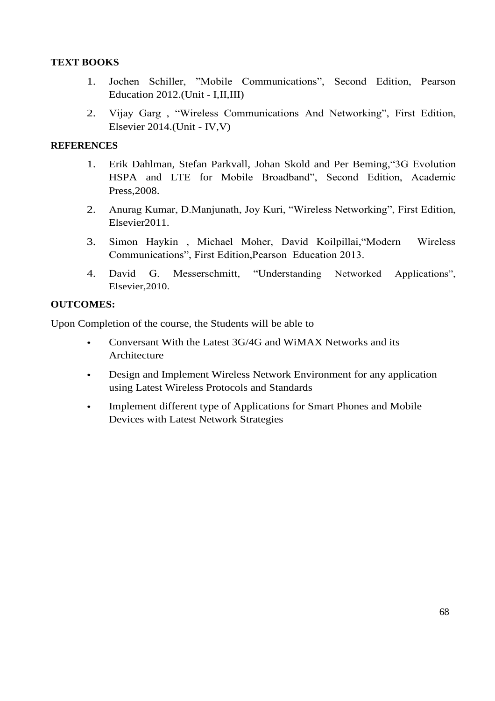### **TEXT BOOKS**

- 1. Jochen Schiller, "Mobile Communications", Second Edition, Pearson Education 2012.(Unit - I,II,III)
- 2. Vijay Garg , "Wireless Communications And Networking", First Edition, Elsevier 2014.(Unit - IV,V)

### **REFERENCES**

- 1. Erik Dahlman, Stefan Parkvall, Johan Skold and Per Beming,"3G Evolution HSPA and LTE for Mobile Broadband", Second Edition, Academic Press,2008.
- 2. Anurag Kumar, D.Manjunath, Joy Kuri, "Wireless Networking", First Edition, Elsevier2011.
- 3. Simon Haykin , Michael Moher, David Koilpillai,"Modern Wireless Communications", First Edition,Pearson Education 2013.
- 4. David G. Messerschmitt, "Understanding Networked Applications", Elsevier,2010.

### **OUTCOMES:**

Upon Completion of the course, the Students will be able to

- Conversant With the Latest 3G/4G and WiMAX Networks and its Architecture
- Design and Implement Wireless Network Environment for any application using Latest Wireless Protocols and Standards
- Implement different type of Applications for Smart Phones and Mobile Devices with Latest Network Strategies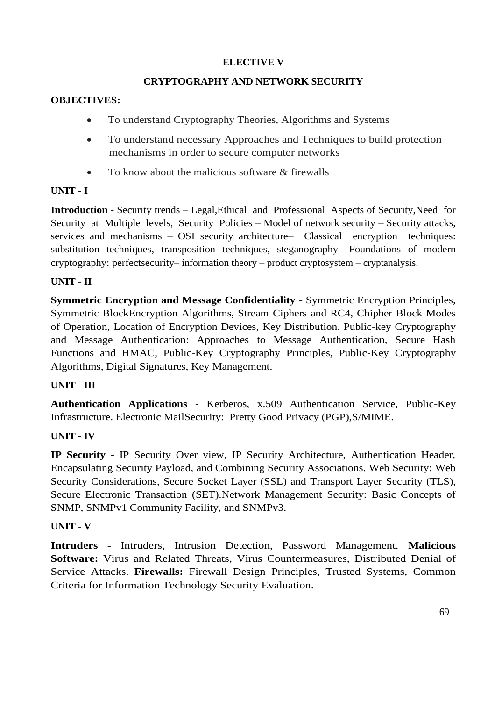## **ELECTIVE V**

### **CRYPTOGRAPHY AND NETWORK SECURITY**

### **OBJECTIVES:**

- To understand Cryptography Theories, Algorithms and Systems
- To understand necessary Approaches and Techniques to build protection mechanisms in order to secure computer networks
- To know about the malicious software & firewalls

### **UNIT - I**

**Introduction -** Security trends – Legal,Ethical and Professional Aspects of Security,Need for Security at Multiple levels, Security Policies – Model of network security – Security attacks, services and mechanisms – OSI security architecture– Classical encryption techniques: substitution techniques, transposition techniques, steganography- Foundations of modern cryptography: perfectsecurity– information theory – product cryptosystem – cryptanalysis.

### **UNIT - II**

**Symmetric Encryption and Message Confidentiality -** Symmetric Encryption Principles, Symmetric BlockEncryption Algorithms, Stream Ciphers and RC4, Chipher Block Modes of Operation, Location of Encryption Devices, Key Distribution. Public-key Cryptography and Message Authentication: Approaches to Message Authentication, Secure Hash Functions and HMAC, Public-Key Cryptography Principles, Public-Key Cryptography Algorithms, Digital Signatures, Key Management.

### **UNIT - III**

**Authentication Applications -** Kerberos, x.509 Authentication Service, Public-Key Infrastructure. Electronic MailSecurity: Pretty Good Privacy (PGP),S/MIME.

## **UNIT - IV**

**IP Security -** IP Security Over view, IP Security Architecture, Authentication Header, Encapsulating Security Payload, and Combining Security Associations. Web Security: Web Security Considerations, Secure Socket Layer (SSL) and Transport Layer Security (TLS), Secure Electronic Transaction (SET).Network Management Security: Basic Concepts of SNMP, SNMPv1 Community Facility, and SNMPv3.

### **UNIT - V**

**Intruders -** Intruders, Intrusion Detection, Password Management. **Malicious Software:** Virus and Related Threats, Virus Countermeasures, Distributed Denial of Service Attacks. **Firewalls:** Firewall Design Principles, Trusted Systems, Common Criteria for Information Technology Security Evaluation.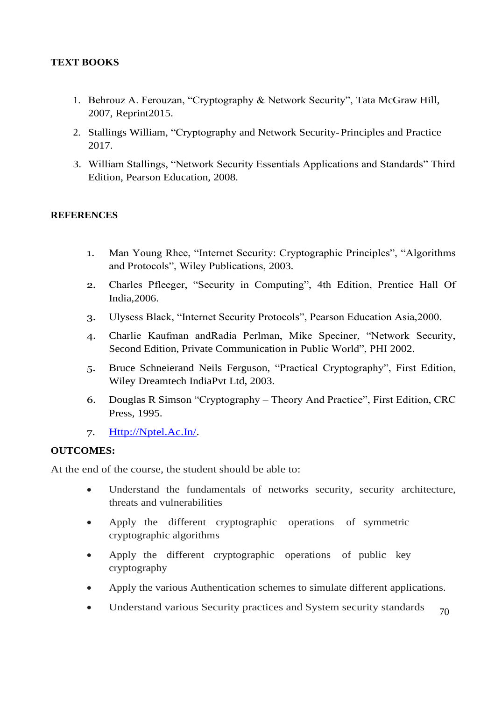## **TEXT BOOKS**

- 1. Behrouz A. Ferouzan, "Cryptography & Network Security", Tata McGraw Hill, 2007, Reprint2015.
- 2. Stallings William, "Cryptography and Network Security-Principles and Practice 2017.
- 3. William Stallings, "Network Security Essentials Applications and Standards" Third Edition, Pearson Education, 2008.

#### **REFERENCES**

- 1. Man Young Rhee, "Internet Security: Cryptographic Principles", "Algorithms and Protocols", Wiley Publications, 2003.
- 2. Charles Pfleeger, "Security in Computing", 4th Edition, Prentice Hall Of India,2006.
- 3. Ulysess Black, "Internet Security Protocols", Pearson Education Asia,2000.
- 4. Charlie Kaufman andRadia Perlman, Mike Speciner, "Network Security, Second Edition, Private Communication in Public World", PHI 2002.
- 5. Bruce Schneierand Neils Ferguson, "Practical Cryptography", First Edition, Wiley Dreamtech IndiaPvt Ltd, 2003.
- 6. Douglas R Simson "Cryptography Theory And Practice", First Edition, CRC Press, 1995.
- 7. [Http://Nptel.Ac.In/.](http://nptel.ac.in/)

### **OUTCOMES:**

At the end of the course, the student should be able to:

- Understand the fundamentals of networks security, security architecture, threats and vulnerabilities
- Apply the different cryptographic operations of symmetric cryptographic algorithms
- Apply the different cryptographic operations of public key cryptography
- Apply the various Authentication schemes to simulate different applications.
- 70 • Understand various Security practices and System security standards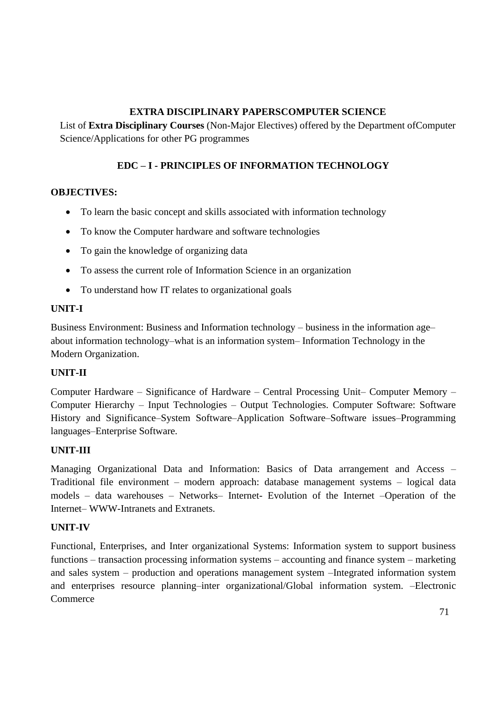# **EXTRA DISCIPLINARY PAPERSCOMPUTER SCIENCE**

List of **Extra Disciplinary Courses** (Non-Major Electives) offered by the Department ofComputer Science/Applications for other PG programmes

# **EDC – I - PRINCIPLES OF INFORMATION TECHNOLOGY**

### **OBJECTIVES:**

- To learn the basic concept and skills associated with information technology
- To know the Computer hardware and software technologies
- To gain the knowledge of organizing data
- To assess the current role of Information Science in an organization
- To understand how IT relates to organizational goals

### **UNIT-I**

Business Environment: Business and Information technology – business in the information age– about information technology–what is an information system– Information Technology in the Modern Organization.

## **UNIT-II**

Computer Hardware – Significance of Hardware – Central Processing Unit– Computer Memory – Computer Hierarchy – Input Technologies – Output Technologies. Computer Software: Software History and Significance–System Software–Application Software–Software issues–Programming languages–Enterprise Software.

### **UNIT-III**

Managing Organizational Data and Information: Basics of Data arrangement and Access – Traditional file environment – modern approach: database management systems – logical data models – data warehouses – Networks– Internet- Evolution of the Internet –Operation of the Internet– WWW-Intranets and Extranets.

### **UNIT-IV**

Functional, Enterprises, and Inter organizational Systems: Information system to support business functions – transaction processing information systems – accounting and finance system – marketing and sales system – production and operations management system –Integrated information system and enterprises resource planning–inter organizational/Global information system. –Electronic **Commerce**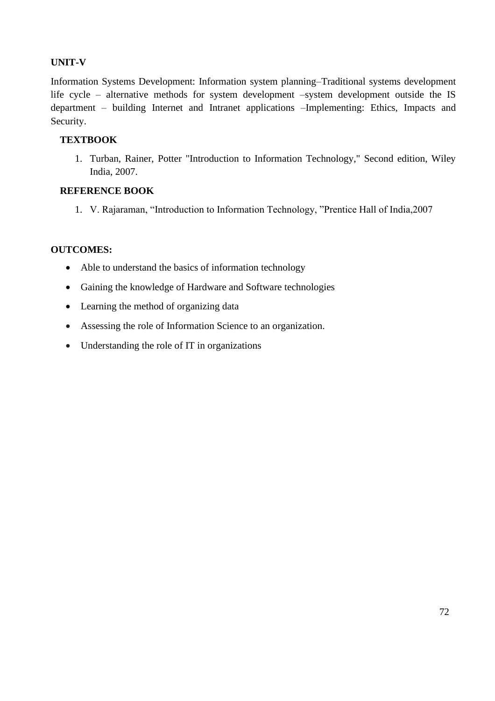## **UNIT-V**

Information Systems Development: Information system planning–Traditional systems development life cycle – alternative methods for system development –system development outside the IS department – building Internet and Intranet applications –Implementing: Ethics, Impacts and Security.

### **TEXTBOOK**

1. Turban, Rainer, Potter "Introduction to Information Technology," Second edition, Wiley India, 2007.

### **REFERENCE BOOK**

1. V. Rajaraman, "Introduction to Information Technology, "Prentice Hall of India,2007

### **OUTCOMES:**

- Able to understand the basics of information technology
- Gaining the knowledge of Hardware and Software technologies
- Learning the method of organizing data
- Assessing the role of Information Science to an organization.
- Understanding the role of IT in organizations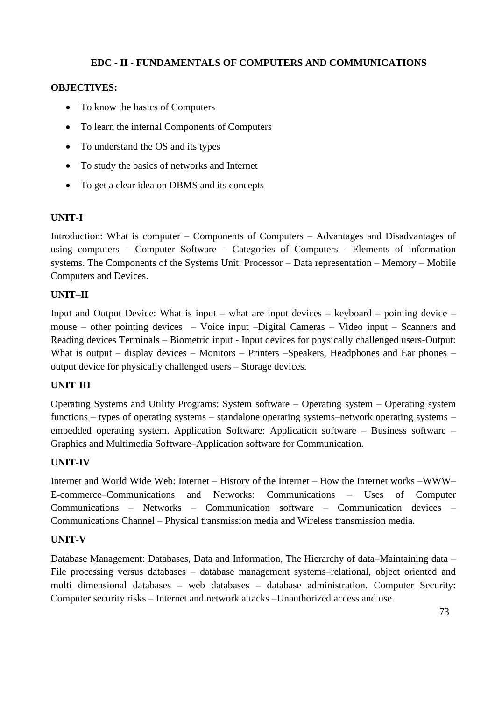# **EDC - II - FUNDAMENTALS OF COMPUTERS AND COMMUNICATIONS**

# **OBJECTIVES:**

- To know the basics of Computers
- To learn the internal Components of Computers
- To understand the OS and its types
- To study the basics of networks and Internet
- To get a clear idea on DBMS and its concepts

## **UNIT-I**

Introduction: What is computer – Components of Computers – Advantages and Disadvantages of using computers – Computer Software – Categories of Computers - Elements of information systems. The Components of the Systems Unit: Processor – Data representation – Memory – Mobile Computers and Devices.

## **UNIT–II**

Input and Output Device: What is input – what are input devices – keyboard – pointing device – mouse – other pointing devices – Voice input –Digital Cameras – Video input – Scanners and Reading devices Terminals – Biometric input - Input devices for physically challenged users-Output: What is output – display devices – Monitors – Printers – Speakers, Headphones and Ear phones – output device for physically challenged users – Storage devices.

#### **UNIT-III**

Operating Systems and Utility Programs: System software – Operating system – Operating system functions – types of operating systems – standalone operating systems–network operating systems – embedded operating system. Application Software: Application software – Business software – Graphics and Multimedia Software–Application software for Communication.

## **UNIT-IV**

Internet and World Wide Web: Internet – History of the Internet – How the Internet works –WWW– E-commerce–Communications and Networks: Communications – Uses of Computer Communications – Networks – Communication software – Communication devices – Communications Channel – Physical transmission media and Wireless transmission media.

## **UNIT-V**

Database Management: Databases, Data and Information, The Hierarchy of data–Maintaining data – File processing versus databases – database management systems–relational, object oriented and multi dimensional databases – web databases – database administration. Computer Security: Computer security risks – Internet and network attacks –Unauthorized access and use.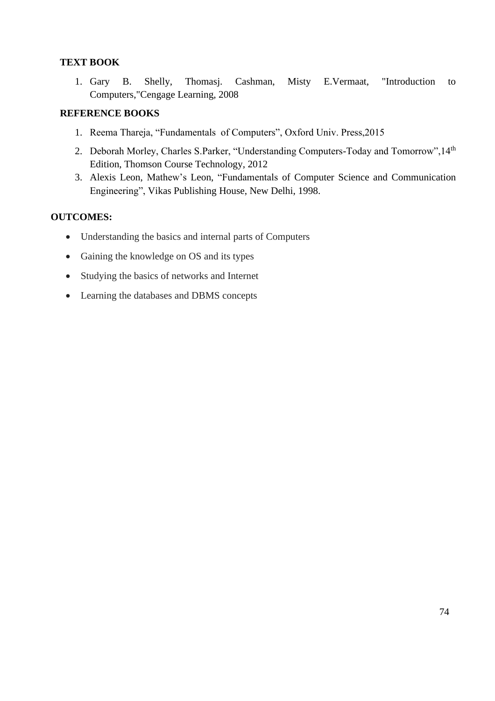## **TEXT BOOK**

1. Gary B. Shelly, Thomasj. Cashman, Misty E.Vermaat, "Introduction to Computers,"Cengage Learning, 2008

## **REFERENCE BOOKS**

- 1. Reema Thareja, "Fundamentals of Computers", Oxford Univ. Press,2015
- 2. Deborah Morley, Charles S.Parker, "Understanding Computers-Today and Tomorrow", 14th Edition, Thomson Course Technology, 2012
- 3. Alexis Leon, Mathew's Leon, "Fundamentals of Computer Science and Communication Engineering", Vikas Publishing House, New Delhi, 1998.

## **OUTCOMES:**

- Understanding the basics and internal parts of Computers
- Gaining the knowledge on OS and its types
- Studying the basics of networks and Internet
- Learning the databases and DBMS concepts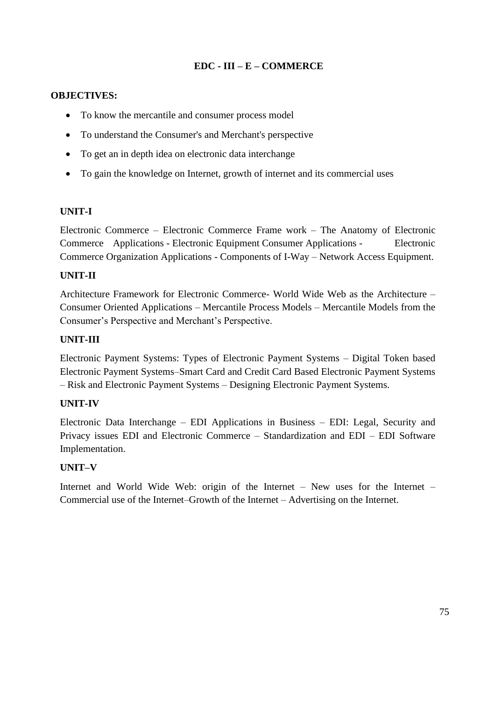# **EDC - III – E – COMMERCE**

### **OBJECTIVES:**

- To know the mercantile and consumer process model
- To understand the Consumer's and Merchant's perspective
- To get an in depth idea on electronic data interchange
- To gain the knowledge on Internet, growth of internet and its commercial uses

#### **UNIT-I**

Electronic Commerce – Electronic Commerce Frame work – The Anatomy of Electronic Commerce Applications - Electronic Equipment Consumer Applications - Electronic Commerce Organization Applications - Components of I-Way – Network Access Equipment.

## **UNIT-II**

Architecture Framework for Electronic Commerce- World Wide Web as the Architecture – Consumer Oriented Applications – Mercantile Process Models – Mercantile Models from the Consumer's Perspective and Merchant's Perspective.

### **UNIT-III**

Electronic Payment Systems: Types of Electronic Payment Systems – Digital Token based Electronic Payment Systems–Smart Card and Credit Card Based Electronic Payment Systems – Risk and Electronic Payment Systems – Designing Electronic Payment Systems.

## **UNIT-IV**

Electronic Data Interchange – EDI Applications in Business – EDI: Legal, Security and Privacy issues EDI and Electronic Commerce – Standardization and EDI – EDI Software Implementation.

#### **UNIT–V**

Internet and World Wide Web: origin of the Internet – New uses for the Internet – Commercial use of the Internet–Growth of the Internet – Advertising on the Internet.